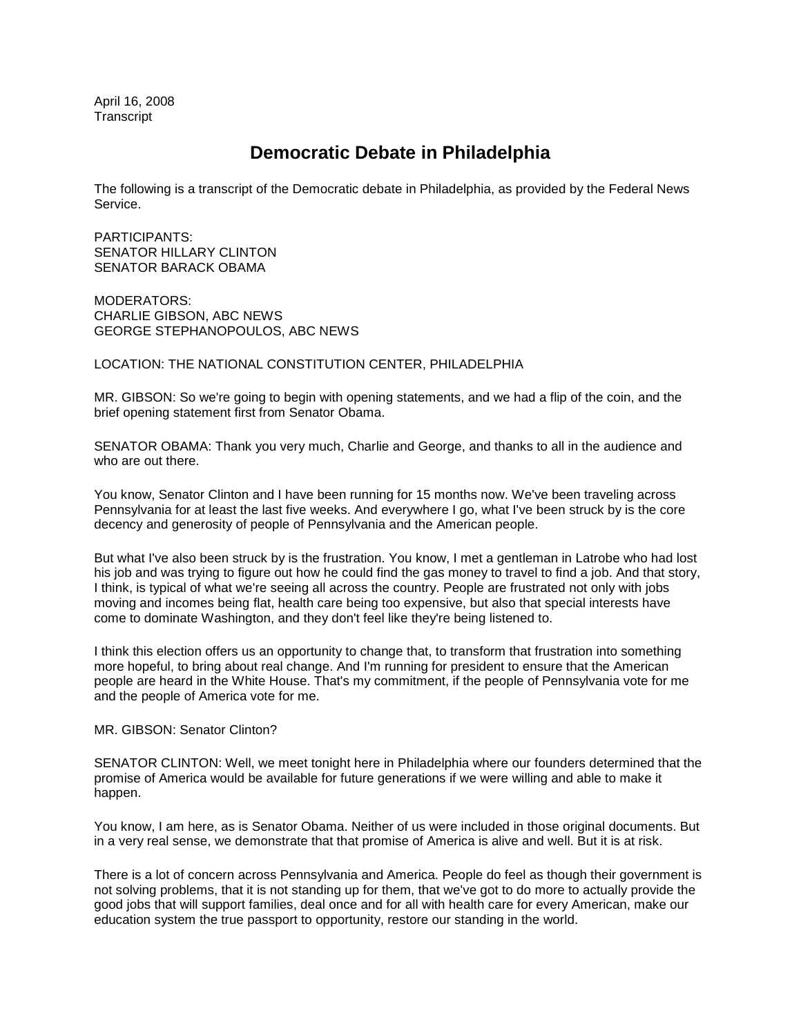April 16, 2008 **Transcript** 

## **Democratic Debate in Philadelphia**

The following is a transcript of the Democratic debate in Philadelphia, as provided by the Federal News Service.

PARTICIPANTS: SENATOR HILLARY CLINTON SENATOR BARACK OBAMA

MODERATORS: CHARLIE GIBSON, ABC NEWS GEORGE STEPHANOPOULOS, ABC NEWS

LOCATION: THE NATIONAL CONSTITUTION CENTER, PHILADELPHIA

MR. GIBSON: So we're going to begin with opening statements, and we had a flip of the coin, and the brief opening statement first from Senator Obama.

SENATOR OBAMA: Thank you very much, Charlie and George, and thanks to all in the audience and who are out there.

You know, Senator Clinton and I have been running for 15 months now. We've been traveling across Pennsylvania for at least the last five weeks. And everywhere I go, what I've been struck by is the core decency and generosity of people of Pennsylvania and the American people.

But what I've also been struck by is the frustration. You know, I met a gentleman in Latrobe who had lost his job and was trying to figure out how he could find the gas money to travel to find a job. And that story, I think, is typical of what we're seeing all across the country. People are frustrated not only with jobs moving and incomes being flat, health care being too expensive, but also that special interests have come to dominate Washington, and they don't feel like they're being listened to.

I think this election offers us an opportunity to change that, to transform that frustration into something more hopeful, to bring about real change. And I'm running for president to ensure that the American people are heard in the White House. That's my commitment, if the people of Pennsylvania vote for me and the people of America vote for me.

## MR. GIBSON: Senator Clinton?

SENATOR CLINTON: Well, we meet tonight here in Philadelphia where our founders determined that the promise of America would be available for future generations if we were willing and able to make it happen.

You know, I am here, as is Senator Obama. Neither of us were included in those original documents. But in a very real sense, we demonstrate that that promise of America is alive and well. But it is at risk.

There is a lot of concern across Pennsylvania and America. People do feel as though their government is not solving problems, that it is not standing up for them, that we've got to do more to actually provide the good jobs that will support families, deal once and for all with health care for every American, make our education system the true passport to opportunity, restore our standing in the world.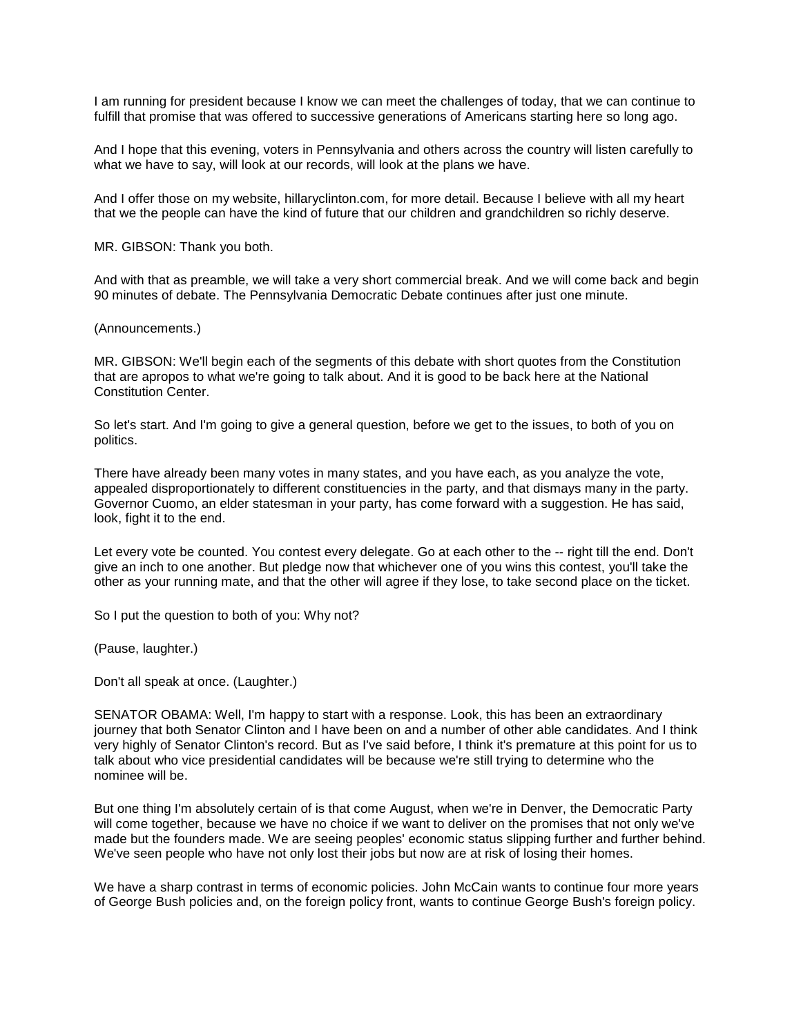I am running for president because I know we can meet the challenges of today, that we can continue to fulfill that promise that was offered to successive generations of Americans starting here so long ago.

And I hope that this evening, voters in Pennsylvania and others across the country will listen carefully to what we have to say, will look at our records, will look at the plans we have.

And I offer those on my website, hillaryclinton.com, for more detail. Because I believe with all my heart that we the people can have the kind of future that our children and grandchildren so richly deserve.

MR. GIBSON: Thank you both.

And with that as preamble, we will take a very short commercial break. And we will come back and begin 90 minutes of debate. The Pennsylvania Democratic Debate continues after just one minute.

(Announcements.)

MR. GIBSON: We'll begin each of the segments of this debate with short quotes from the Constitution that are apropos to what we're going to talk about. And it is good to be back here at the National Constitution Center.

So let's start. And I'm going to give a general question, before we get to the issues, to both of you on politics.

There have already been many votes in many states, and you have each, as you analyze the vote, appealed disproportionately to different constituencies in the party, and that dismays many in the party. Governor Cuomo, an elder statesman in your party, has come forward with a suggestion. He has said, look, fight it to the end.

Let every vote be counted. You contest every delegate. Go at each other to the -- right till the end. Don't give an inch to one another. But pledge now that whichever one of you wins this contest, you'll take the other as your running mate, and that the other will agree if they lose, to take second place on the ticket.

So I put the question to both of you: Why not?

(Pause, laughter.)

Don't all speak at once. (Laughter.)

SENATOR OBAMA: Well, I'm happy to start with a response. Look, this has been an extraordinary journey that both Senator Clinton and I have been on and a number of other able candidates. And I think very highly of Senator Clinton's record. But as I've said before, I think it's premature at this point for us to talk about who vice presidential candidates will be because we're still trying to determine who the nominee will be.

But one thing I'm absolutely certain of is that come August, when we're in Denver, the Democratic Party will come together, because we have no choice if we want to deliver on the promises that not only we've made but the founders made. We are seeing peoples' economic status slipping further and further behind. We've seen people who have not only lost their jobs but now are at risk of losing their homes.

We have a sharp contrast in terms of economic policies. John McCain wants to continue four more years of George Bush policies and, on the foreign policy front, wants to continue George Bush's foreign policy.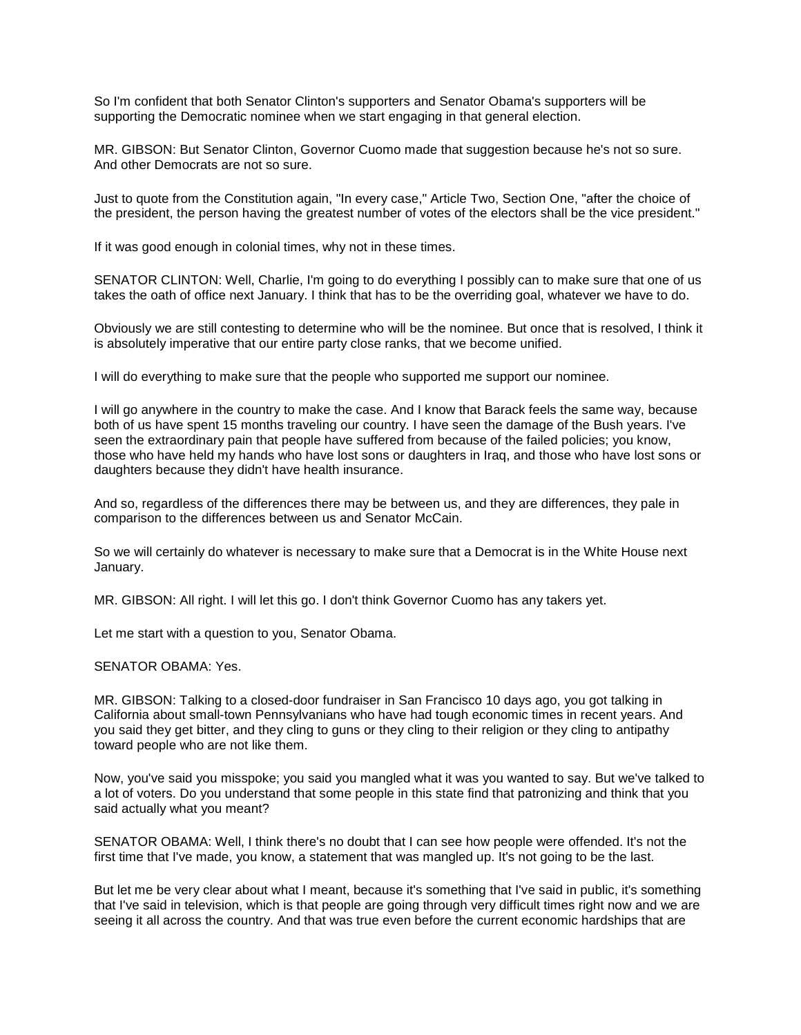So I'm confident that both Senator Clinton's supporters and Senator Obama's supporters will be supporting the Democratic nominee when we start engaging in that general election.

MR. GIBSON: But Senator Clinton, Governor Cuomo made that suggestion because he's not so sure. And other Democrats are not so sure.

Just to quote from the Constitution again, "In every case," Article Two, Section One, "after the choice of the president, the person having the greatest number of votes of the electors shall be the vice president."

If it was good enough in colonial times, why not in these times.

SENATOR CLINTON: Well, Charlie, I'm going to do everything I possibly can to make sure that one of us takes the oath of office next January. I think that has to be the overriding goal, whatever we have to do.

Obviously we are still contesting to determine who will be the nominee. But once that is resolved, I think it is absolutely imperative that our entire party close ranks, that we become unified.

I will do everything to make sure that the people who supported me support our nominee.

I will go anywhere in the country to make the case. And I know that Barack feels the same way, because both of us have spent 15 months traveling our country. I have seen the damage of the Bush years. I've seen the extraordinary pain that people have suffered from because of the failed policies; you know, those who have held my hands who have lost sons or daughters in Iraq, and those who have lost sons or daughters because they didn't have health insurance.

And so, regardless of the differences there may be between us, and they are differences, they pale in comparison to the differences between us and Senator McCain.

So we will certainly do whatever is necessary to make sure that a Democrat is in the White House next January.

MR. GIBSON: All right. I will let this go. I don't think Governor Cuomo has any takers yet.

Let me start with a question to you, Senator Obama.

SENATOR OBAMA: Yes.

MR. GIBSON: Talking to a closed-door fundraiser in San Francisco 10 days ago, you got talking in California about small-town Pennsylvanians who have had tough economic times in recent years. And you said they get bitter, and they cling to guns or they cling to their religion or they cling to antipathy toward people who are not like them.

Now, you've said you misspoke; you said you mangled what it was you wanted to say. But we've talked to a lot of voters. Do you understand that some people in this state find that patronizing and think that you said actually what you meant?

SENATOR OBAMA: Well, I think there's no doubt that I can see how people were offended. It's not the first time that I've made, you know, a statement that was mangled up. It's not going to be the last.

But let me be very clear about what I meant, because it's something that I've said in public, it's something that I've said in television, which is that people are going through very difficult times right now and we are seeing it all across the country. And that was true even before the current economic hardships that are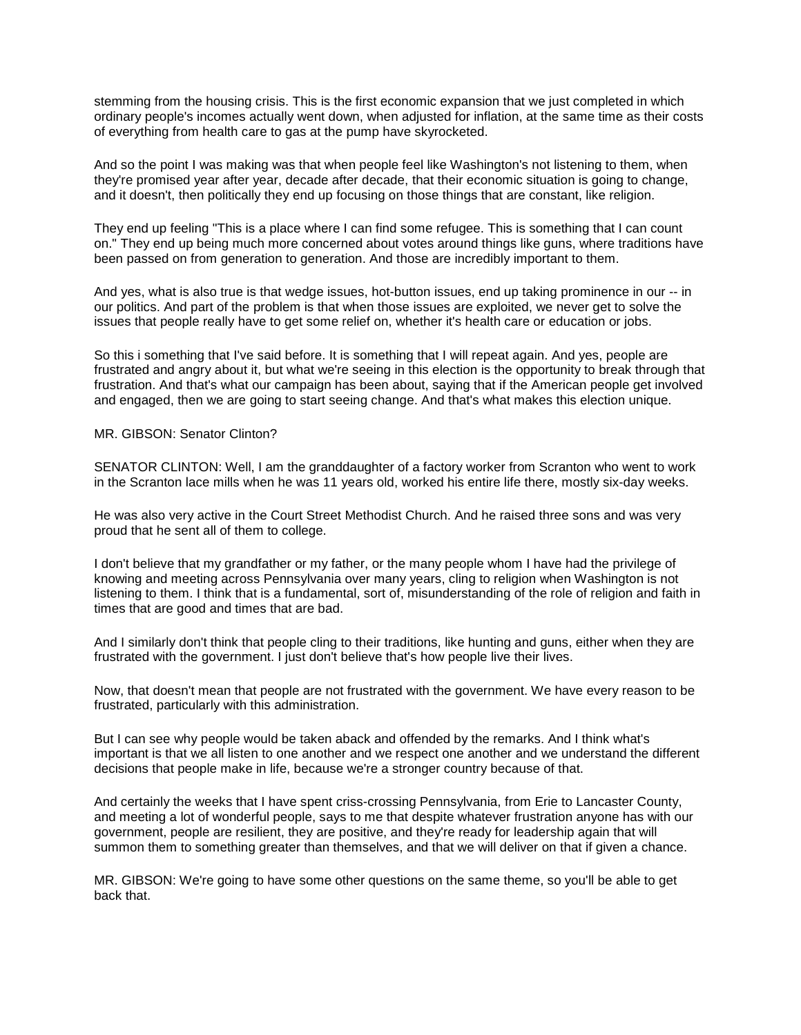stemming from the housing crisis. This is the first economic expansion that we just completed in which ordinary people's incomes actually went down, when adjusted for inflation, at the same time as their costs of everything from health care to gas at the pump have skyrocketed.

And so the point I was making was that when people feel like Washington's not listening to them, when they're promised year after year, decade after decade, that their economic situation is going to change, and it doesn't, then politically they end up focusing on those things that are constant, like religion.

They end up feeling "This is a place where I can find some refugee. This is something that I can count on." They end up being much more concerned about votes around things like guns, where traditions have been passed on from generation to generation. And those are incredibly important to them.

And yes, what is also true is that wedge issues, hot-button issues, end up taking prominence in our -- in our politics. And part of the problem is that when those issues are exploited, we never get to solve the issues that people really have to get some relief on, whether it's health care or education or jobs.

So this i something that I've said before. It is something that I will repeat again. And yes, people are frustrated and angry about it, but what we're seeing in this election is the opportunity to break through that frustration. And that's what our campaign has been about, saying that if the American people get involved and engaged, then we are going to start seeing change. And that's what makes this election unique.

MR. GIBSON: Senator Clinton?

SENATOR CLINTON: Well, I am the granddaughter of a factory worker from Scranton who went to work in the Scranton lace mills when he was 11 years old, worked his entire life there, mostly six-day weeks.

He was also very active in the Court Street Methodist Church. And he raised three sons and was very proud that he sent all of them to college.

I don't believe that my grandfather or my father, or the many people whom I have had the privilege of knowing and meeting across Pennsylvania over many years, cling to religion when Washington is not listening to them. I think that is a fundamental, sort of, misunderstanding of the role of religion and faith in times that are good and times that are bad.

And I similarly don't think that people cling to their traditions, like hunting and guns, either when they are frustrated with the government. I just don't believe that's how people live their lives.

Now, that doesn't mean that people are not frustrated with the government. We have every reason to be frustrated, particularly with this administration.

But I can see why people would be taken aback and offended by the remarks. And I think what's important is that we all listen to one another and we respect one another and we understand the different decisions that people make in life, because we're a stronger country because of that.

And certainly the weeks that I have spent criss-crossing Pennsylvania, from Erie to Lancaster County, and meeting a lot of wonderful people, says to me that despite whatever frustration anyone has with our government, people are resilient, they are positive, and they're ready for leadership again that will summon them to something greater than themselves, and that we will deliver on that if given a chance.

MR. GIBSON: We're going to have some other questions on the same theme, so you'll be able to get back that.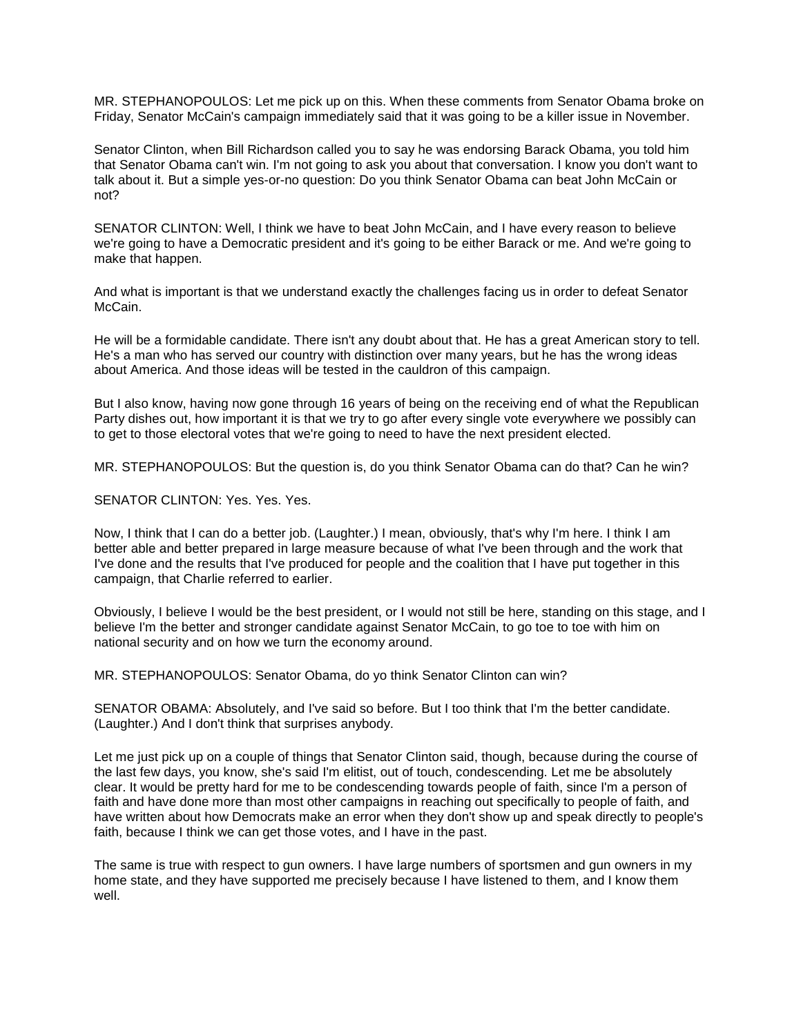MR. STEPHANOPOULOS: Let me pick up on this. When these comments from Senator Obama broke on Friday, Senator McCain's campaign immediately said that it was going to be a killer issue in November.

Senator Clinton, when Bill Richardson called you to say he was endorsing Barack Obama, you told him that Senator Obama can't win. I'm not going to ask you about that conversation. I know you don't want to talk about it. But a simple yes-or-no question: Do you think Senator Obama can beat John McCain or not?

SENATOR CLINTON: Well, I think we have to beat John McCain, and I have every reason to believe we're going to have a Democratic president and it's going to be either Barack or me. And we're going to make that happen.

And what is important is that we understand exactly the challenges facing us in order to defeat Senator McCain.

He will be a formidable candidate. There isn't any doubt about that. He has a great American story to tell. He's a man who has served our country with distinction over many years, but he has the wrong ideas about America. And those ideas will be tested in the cauldron of this campaign.

But I also know, having now gone through 16 years of being on the receiving end of what the Republican Party dishes out, how important it is that we try to go after every single vote everywhere we possibly can to get to those electoral votes that we're going to need to have the next president elected.

MR. STEPHANOPOULOS: But the question is, do you think Senator Obama can do that? Can he win?

SENATOR CLINTON: Yes. Yes. Yes.

Now, I think that I can do a better job. (Laughter.) I mean, obviously, that's why I'm here. I think I am better able and better prepared in large measure because of what I've been through and the work that I've done and the results that I've produced for people and the coalition that I have put together in this campaign, that Charlie referred to earlier.

Obviously, I believe I would be the best president, or I would not still be here, standing on this stage, and I believe I'm the better and stronger candidate against Senator McCain, to go toe to toe with him on national security and on how we turn the economy around.

MR. STEPHANOPOULOS: Senator Obama, do yo think Senator Clinton can win?

SENATOR OBAMA: Absolutely, and I've said so before. But I too think that I'm the better candidate. (Laughter.) And I don't think that surprises anybody.

Let me just pick up on a couple of things that Senator Clinton said, though, because during the course of the last few days, you know, she's said I'm elitist, out of touch, condescending. Let me be absolutely clear. It would be pretty hard for me to be condescending towards people of faith, since I'm a person of faith and have done more than most other campaigns in reaching out specifically to people of faith, and have written about how Democrats make an error when they don't show up and speak directly to people's faith, because I think we can get those votes, and I have in the past.

The same is true with respect to gun owners. I have large numbers of sportsmen and gun owners in my home state, and they have supported me precisely because I have listened to them, and I know them well.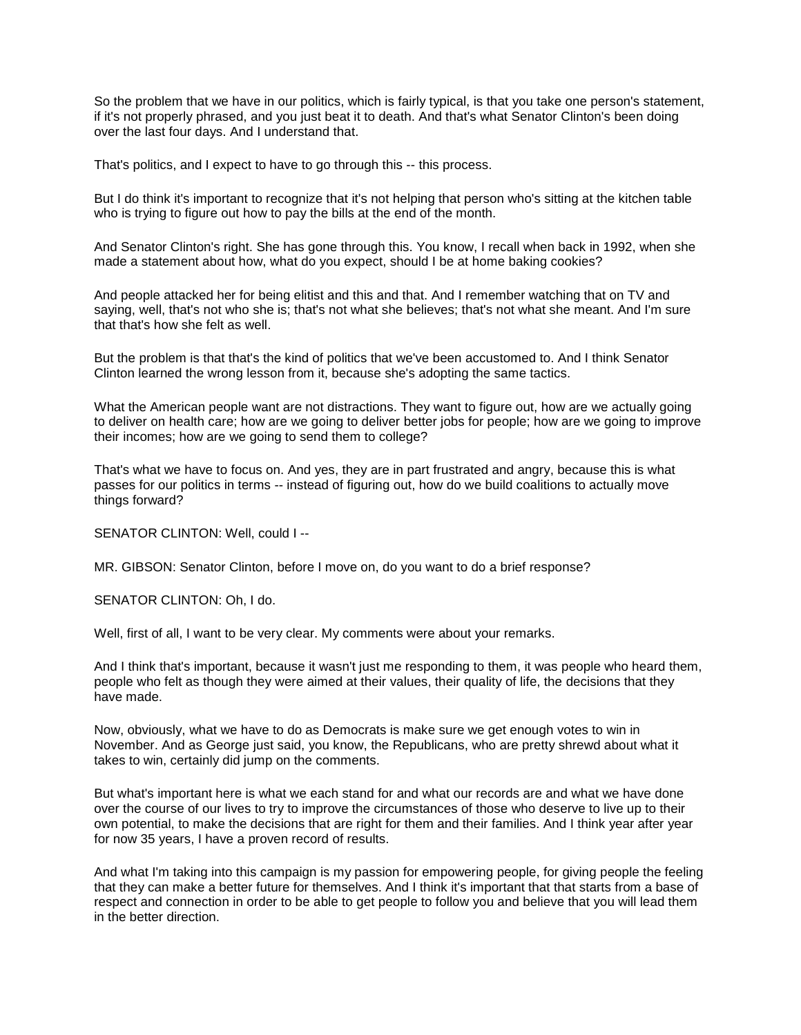So the problem that we have in our politics, which is fairly typical, is that you take one person's statement, if it's not properly phrased, and you just beat it to death. And that's what Senator Clinton's been doing over the last four days. And I understand that.

That's politics, and I expect to have to go through this -- this process.

But I do think it's important to recognize that it's not helping that person who's sitting at the kitchen table who is trying to figure out how to pay the bills at the end of the month.

And Senator Clinton's right. She has gone through this. You know, I recall when back in 1992, when she made a statement about how, what do you expect, should I be at home baking cookies?

And people attacked her for being elitist and this and that. And I remember watching that on TV and saying, well, that's not who she is; that's not what she believes; that's not what she meant. And I'm sure that that's how she felt as well.

But the problem is that that's the kind of politics that we've been accustomed to. And I think Senator Clinton learned the wrong lesson from it, because she's adopting the same tactics.

What the American people want are not distractions. They want to figure out, how are we actually going to deliver on health care; how are we going to deliver better jobs for people; how are we going to improve their incomes; how are we going to send them to college?

That's what we have to focus on. And yes, they are in part frustrated and angry, because this is what passes for our politics in terms -- instead of figuring out, how do we build coalitions to actually move things forward?

SENATOR CLINTON: Well, could I --

MR. GIBSON: Senator Clinton, before I move on, do you want to do a brief response?

SENATOR CLINTON: Oh, I do.

Well, first of all, I want to be very clear. My comments were about your remarks.

And I think that's important, because it wasn't just me responding to them, it was people who heard them, people who felt as though they were aimed at their values, their quality of life, the decisions that they have made.

Now, obviously, what we have to do as Democrats is make sure we get enough votes to win in November. And as George just said, you know, the Republicans, who are pretty shrewd about what it takes to win, certainly did jump on the comments.

But what's important here is what we each stand for and what our records are and what we have done over the course of our lives to try to improve the circumstances of those who deserve to live up to their own potential, to make the decisions that are right for them and their families. And I think year after year for now 35 years, I have a proven record of results.

And what I'm taking into this campaign is my passion for empowering people, for giving people the feeling that they can make a better future for themselves. And I think it's important that that starts from a base of respect and connection in order to be able to get people to follow you and believe that you will lead them in the better direction.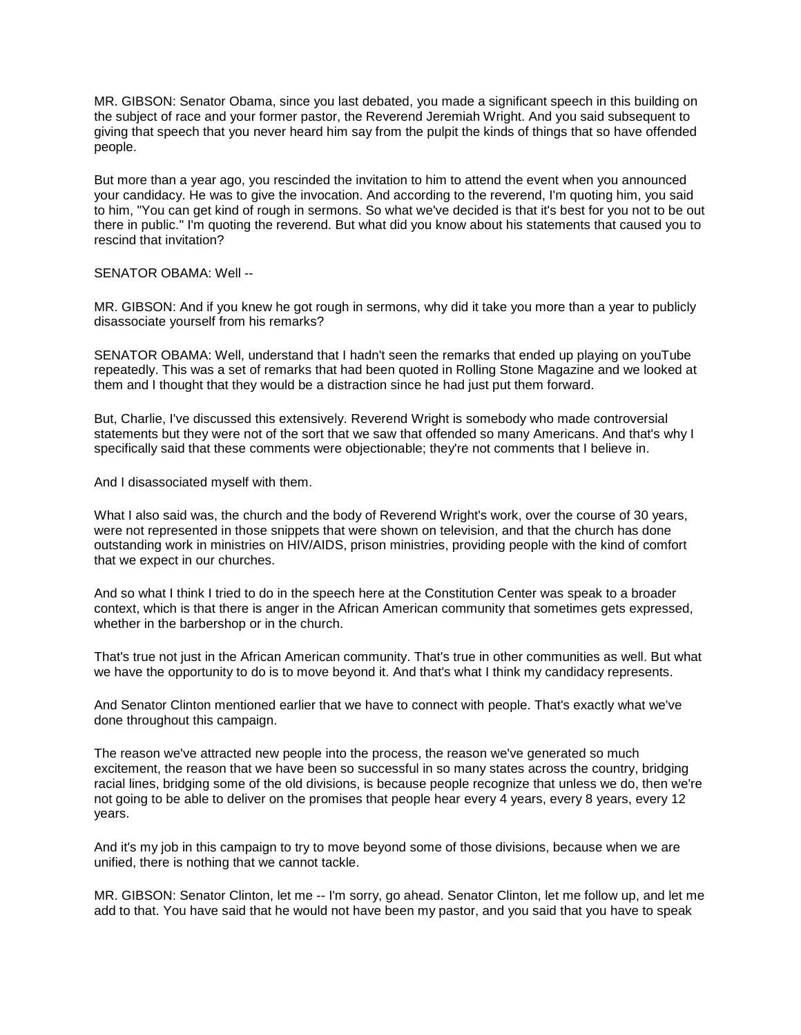MR. GIBSON: Senator Obama, since you last debated, you made a significant speech in this building on the subject of race and your former pastor, the Reverend Jeremiah Wright. And you said subsequent to giving that speech that you never heard him say from the pulpit the kinds of things that so have offended people.

But more than a year ago, you rescinded the invitation to him to attend the event when you announced your candidacy. He was to give the invocation. And according to the reverend, I'm quoting him, you said to him, "You can get kind of rough in sermons. So what we've decided is that it's best for you not to be out there in public." I'm quoting the reverend. But what did you know about his statements that caused you to rescind that invitation?

## SENATOR OBAMA: Well --

MR. GIBSON: And if you knew he got rough in sermons, why did it take you more than a year to publicly disassociate yourself from his remarks?

SENATOR OBAMA: Well, understand that I hadn't seen the remarks that ended up playing on youTube repeatedly. This was a set of remarks that had been quoted in Rolling Stone Magazine and we looked at them and I thought that they would be a distraction since he had just put them forward.

But, Charlie, I've discussed this extensively. Reverend Wright is somebody who made controversial statements but they were not of the sort that we saw that offended so many Americans. And that's why I specifically said that these comments were objectionable; they're not comments that I believe in.

And I disassociated myself with them.

What I also said was, the church and the body of Reverend Wright's work, over the course of 30 years, were not represented in those snippets that were shown on television, and that the church has done outstanding work in ministries on HIV/AIDS, prison ministries, providing people with the kind of comfort that we expect in our churches.

And so what I think I tried to do in the speech here at the Constitution Center was speak to a broader context, which is that there is anger in the African American community that sometimes gets expressed, whether in the barbershop or in the church.

That's true not just in the African American community. That's true in other communities as well. But what we have the opportunity to do is to move beyond it. And that's what I think my candidacy represents.

And Senator Clinton mentioned earlier that we have to connect with people. That's exactly what we've done throughout this campaign.

The reason we've attracted new people into the process, the reason we've generated so much excitement, the reason that we have been so successful in so many states across the country, bridging racial lines, bridging some of the old divisions, is because people recognize that unless we do, then we're not going to be able to deliver on the promises that people hear every 4 years, every 8 years, every 12 years.

And it's my job in this campaign to try to move beyond some of those divisions, because when we are unified, there is nothing that we cannot tackle.

MR. GIBSON: Senator Clinton, let me -- I'm sorry, go ahead. Senator Clinton, let me follow up, and let me add to that. You have said that he would not have been my pastor, and you said that you have to speak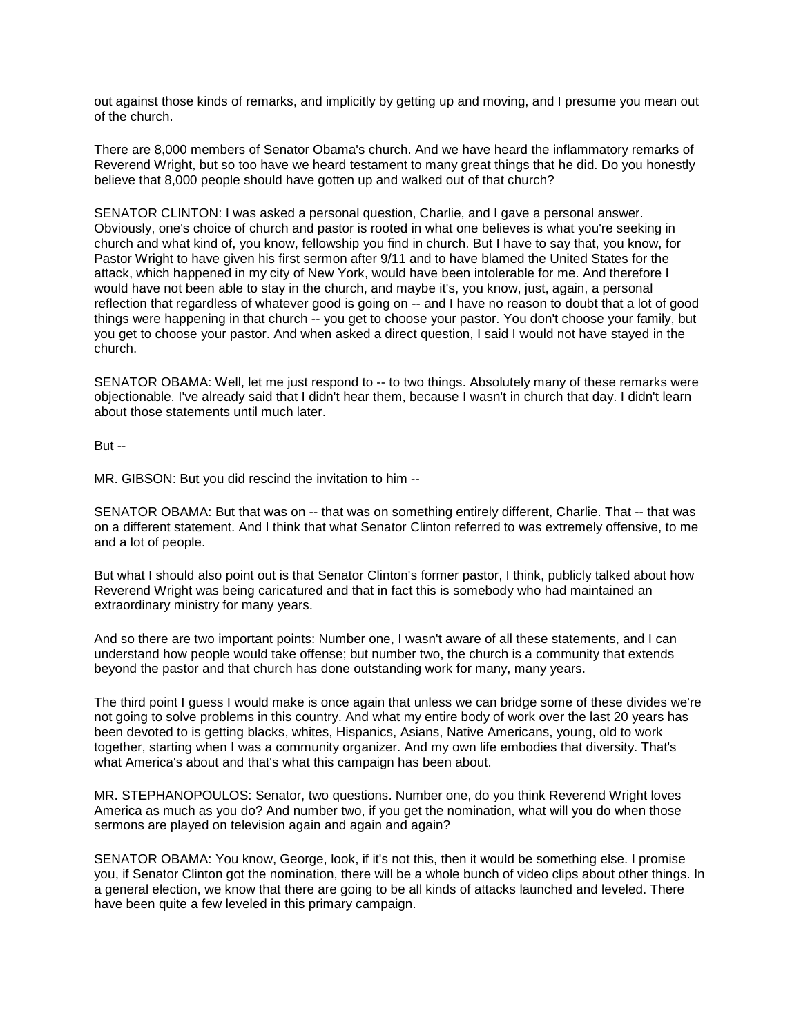out against those kinds of remarks, and implicitly by getting up and moving, and I presume you mean out of the church.

There are 8,000 members of Senator Obama's church. And we have heard the inflammatory remarks of Reverend Wright, but so too have we heard testament to many great things that he did. Do you honestly believe that 8,000 people should have gotten up and walked out of that church?

SENATOR CLINTON: I was asked a personal question, Charlie, and I gave a personal answer. Obviously, one's choice of church and pastor is rooted in what one believes is what you're seeking in church and what kind of, you know, fellowship you find in church. But I have to say that, you know, for Pastor Wright to have given his first sermon after 9/11 and to have blamed the United States for the attack, which happened in my city of New York, would have been intolerable for me. And therefore I would have not been able to stay in the church, and maybe it's, you know, just, again, a personal reflection that regardless of whatever good is going on -- and I have no reason to doubt that a lot of good things were happening in that church -- you get to choose your pastor. You don't choose your family, but you get to choose your pastor. And when asked a direct question, I said I would not have stayed in the church.

SENATOR OBAMA: Well, let me just respond to -- to two things. Absolutely many of these remarks were objectionable. I've already said that I didn't hear them, because I wasn't in church that day. I didn't learn about those statements until much later.

But --

MR. GIBSON: But you did rescind the invitation to him --

SENATOR OBAMA: But that was on -- that was on something entirely different, Charlie. That -- that was on a different statement. And I think that what Senator Clinton referred to was extremely offensive, to me and a lot of people.

But what I should also point out is that Senator Clinton's former pastor, I think, publicly talked about how Reverend Wright was being caricatured and that in fact this is somebody who had maintained an extraordinary ministry for many years.

And so there are two important points: Number one, I wasn't aware of all these statements, and I can understand how people would take offense; but number two, the church is a community that extends beyond the pastor and that church has done outstanding work for many, many years.

The third point I guess I would make is once again that unless we can bridge some of these divides we're not going to solve problems in this country. And what my entire body of work over the last 20 years has been devoted to is getting blacks, whites, Hispanics, Asians, Native Americans, young, old to work together, starting when I was a community organizer. And my own life embodies that diversity. That's what America's about and that's what this campaign has been about.

MR. STEPHANOPOULOS: Senator, two questions. Number one, do you think Reverend Wright loves America as much as you do? And number two, if you get the nomination, what will you do when those sermons are played on television again and again and again?

SENATOR OBAMA: You know, George, look, if it's not this, then it would be something else. I promise you, if Senator Clinton got the nomination, there will be a whole bunch of video clips about other things. In a general election, we know that there are going to be all kinds of attacks launched and leveled. There have been quite a few leveled in this primary campaign.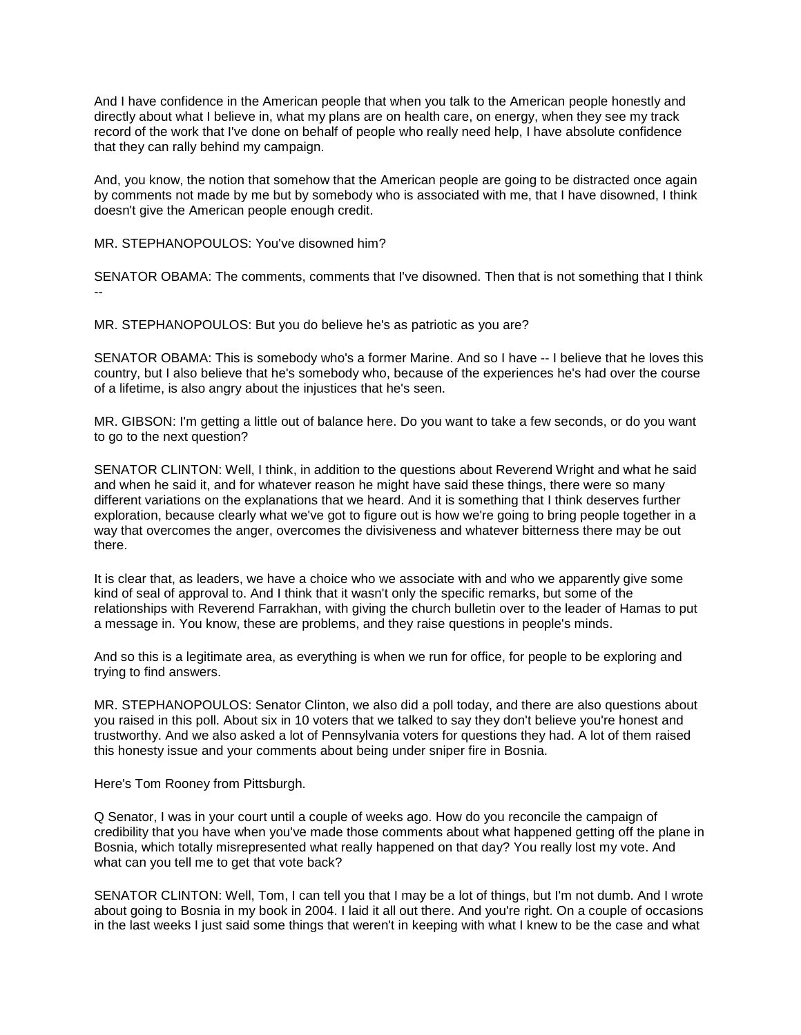And I have confidence in the American people that when you talk to the American people honestly and directly about what I believe in, what my plans are on health care, on energy, when they see my track record of the work that I've done on behalf of people who really need help, I have absolute confidence that they can rally behind my campaign.

And, you know, the notion that somehow that the American people are going to be distracted once again by comments not made by me but by somebody who is associated with me, that I have disowned, I think doesn't give the American people enough credit.

MR. STEPHANOPOULOS: You've disowned him?

SENATOR OBAMA: The comments, comments that I've disowned. Then that is not something that I think --

MR. STEPHANOPOULOS: But you do believe he's as patriotic as you are?

SENATOR OBAMA: This is somebody who's a former Marine. And so I have -- I believe that he loves this country, but I also believe that he's somebody who, because of the experiences he's had over the course of a lifetime, is also angry about the injustices that he's seen.

MR. GIBSON: I'm getting a little out of balance here. Do you want to take a few seconds, or do you want to go to the next question?

SENATOR CLINTON: Well, I think, in addition to the questions about Reverend Wright and what he said and when he said it, and for whatever reason he might have said these things, there were so many different variations on the explanations that we heard. And it is something that I think deserves further exploration, because clearly what we've got to figure out is how we're going to bring people together in a way that overcomes the anger, overcomes the divisiveness and whatever bitterness there may be out there.

It is clear that, as leaders, we have a choice who we associate with and who we apparently give some kind of seal of approval to. And I think that it wasn't only the specific remarks, but some of the relationships with Reverend Farrakhan, with giving the church bulletin over to the leader of Hamas to put a message in. You know, these are problems, and they raise questions in people's minds.

And so this is a legitimate area, as everything is when we run for office, for people to be exploring and trying to find answers.

MR. STEPHANOPOULOS: Senator Clinton, we also did a poll today, and there are also questions about you raised in this poll. About six in 10 voters that we talked to say they don't believe you're honest and trustworthy. And we also asked a lot of Pennsylvania voters for questions they had. A lot of them raised this honesty issue and your comments about being under sniper fire in Bosnia.

Here's Tom Rooney from Pittsburgh.

Q Senator, I was in your court until a couple of weeks ago. How do you reconcile the campaign of credibility that you have when you've made those comments about what happened getting off the plane in Bosnia, which totally misrepresented what really happened on that day? You really lost my vote. And what can you tell me to get that vote back?

SENATOR CLINTON: Well, Tom, I can tell you that I may be a lot of things, but I'm not dumb. And I wrote about going to Bosnia in my book in 2004. I laid it all out there. And you're right. On a couple of occasions in the last weeks I just said some things that weren't in keeping with what I knew to be the case and what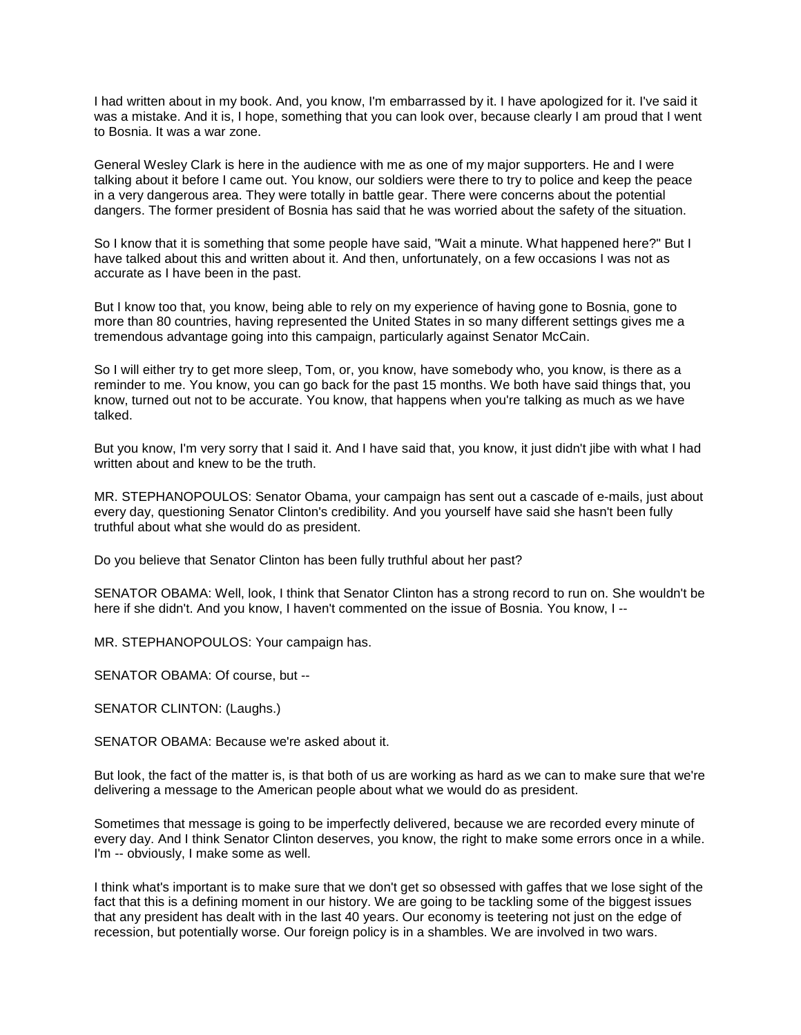I had written about in my book. And, you know, I'm embarrassed by it. I have apologized for it. I've said it was a mistake. And it is, I hope, something that you can look over, because clearly I am proud that I went to Bosnia. It was a war zone.

General Wesley Clark is here in the audience with me as one of my major supporters. He and I were talking about it before I came out. You know, our soldiers were there to try to police and keep the peace in a very dangerous area. They were totally in battle gear. There were concerns about the potential dangers. The former president of Bosnia has said that he was worried about the safety of the situation.

So I know that it is something that some people have said, "Wait a minute. What happened here?" But I have talked about this and written about it. And then, unfortunately, on a few occasions I was not as accurate as I have been in the past.

But I know too that, you know, being able to rely on my experience of having gone to Bosnia, gone to more than 80 countries, having represented the United States in so many different settings gives me a tremendous advantage going into this campaign, particularly against Senator McCain.

So I will either try to get more sleep, Tom, or, you know, have somebody who, you know, is there as a reminder to me. You know, you can go back for the past 15 months. We both have said things that, you know, turned out not to be accurate. You know, that happens when you're talking as much as we have talked.

But you know, I'm very sorry that I said it. And I have said that, you know, it just didn't jibe with what I had written about and knew to be the truth.

MR. STEPHANOPOULOS: Senator Obama, your campaign has sent out a cascade of e-mails, just about every day, questioning Senator Clinton's credibility. And you yourself have said she hasn't been fully truthful about what she would do as president.

Do you believe that Senator Clinton has been fully truthful about her past?

SENATOR OBAMA: Well, look, I think that Senator Clinton has a strong record to run on. She wouldn't be here if she didn't. And you know, I haven't commented on the issue of Bosnia. You know, I --

MR. STEPHANOPOULOS: Your campaign has.

SENATOR OBAMA: Of course, but --

SENATOR CLINTON: (Laughs.)

SENATOR OBAMA: Because we're asked about it.

But look, the fact of the matter is, is that both of us are working as hard as we can to make sure that we're delivering a message to the American people about what we would do as president.

Sometimes that message is going to be imperfectly delivered, because we are recorded every minute of every day. And I think Senator Clinton deserves, you know, the right to make some errors once in a while. I'm -- obviously, I make some as well.

I think what's important is to make sure that we don't get so obsessed with gaffes that we lose sight of the fact that this is a defining moment in our history. We are going to be tackling some of the biggest issues that any president has dealt with in the last 40 years. Our economy is teetering not just on the edge of recession, but potentially worse. Our foreign policy is in a shambles. We are involved in two wars.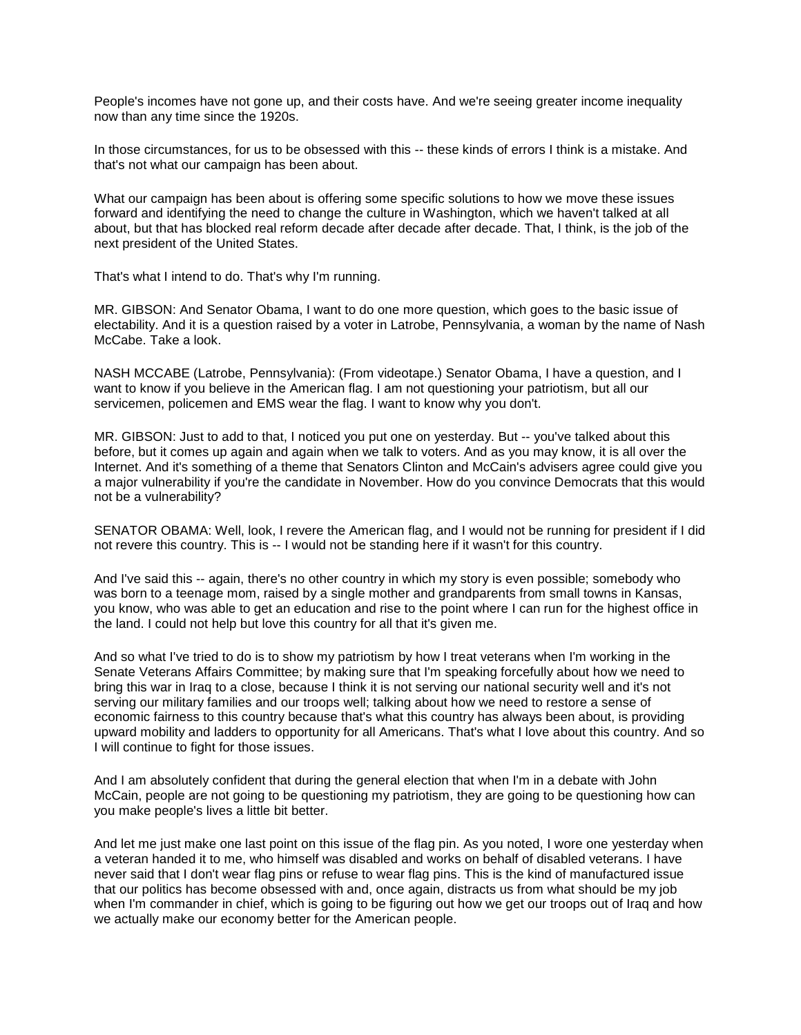People's incomes have not gone up, and their costs have. And we're seeing greater income inequality now than any time since the 1920s.

In those circumstances, for us to be obsessed with this -- these kinds of errors I think is a mistake. And that's not what our campaign has been about.

What our campaign has been about is offering some specific solutions to how we move these issues forward and identifying the need to change the culture in Washington, which we haven't talked at all about, but that has blocked real reform decade after decade after decade. That, I think, is the job of the next president of the United States.

That's what I intend to do. That's why I'm running.

MR. GIBSON: And Senator Obama, I want to do one more question, which goes to the basic issue of electability. And it is a question raised by a voter in Latrobe, Pennsylvania, a woman by the name of Nash McCabe. Take a look.

NASH MCCABE (Latrobe, Pennsylvania): (From videotape.) Senator Obama, I have a question, and I want to know if you believe in the American flag. I am not questioning your patriotism, but all our servicemen, policemen and EMS wear the flag. I want to know why you don't.

MR. GIBSON: Just to add to that, I noticed you put one on yesterday. But -- you've talked about this before, but it comes up again and again when we talk to voters. And as you may know, it is all over the Internet. And it's something of a theme that Senators Clinton and McCain's advisers agree could give you a major vulnerability if you're the candidate in November. How do you convince Democrats that this would not be a vulnerability?

SENATOR OBAMA: Well, look, I revere the American flag, and I would not be running for president if I did not revere this country. This is -- I would not be standing here if it wasn't for this country.

And I've said this -- again, there's no other country in which my story is even possible; somebody who was born to a teenage mom, raised by a single mother and grandparents from small towns in Kansas, you know, who was able to get an education and rise to the point where I can run for the highest office in the land. I could not help but love this country for all that it's given me.

And so what I've tried to do is to show my patriotism by how I treat veterans when I'm working in the Senate Veterans Affairs Committee; by making sure that I'm speaking forcefully about how we need to bring this war in Iraq to a close, because I think it is not serving our national security well and it's not serving our military families and our troops well; talking about how we need to restore a sense of economic fairness to this country because that's what this country has always been about, is providing upward mobility and ladders to opportunity for all Americans. That's what I love about this country. And so I will continue to fight for those issues.

And I am absolutely confident that during the general election that when I'm in a debate with John McCain, people are not going to be questioning my patriotism, they are going to be questioning how can you make people's lives a little bit better.

And let me just make one last point on this issue of the flag pin. As you noted, I wore one yesterday when a veteran handed it to me, who himself was disabled and works on behalf of disabled veterans. I have never said that I don't wear flag pins or refuse to wear flag pins. This is the kind of manufactured issue that our politics has become obsessed with and, once again, distracts us from what should be my job when I'm commander in chief, which is going to be figuring out how we get our troops out of Iraq and how we actually make our economy better for the American people.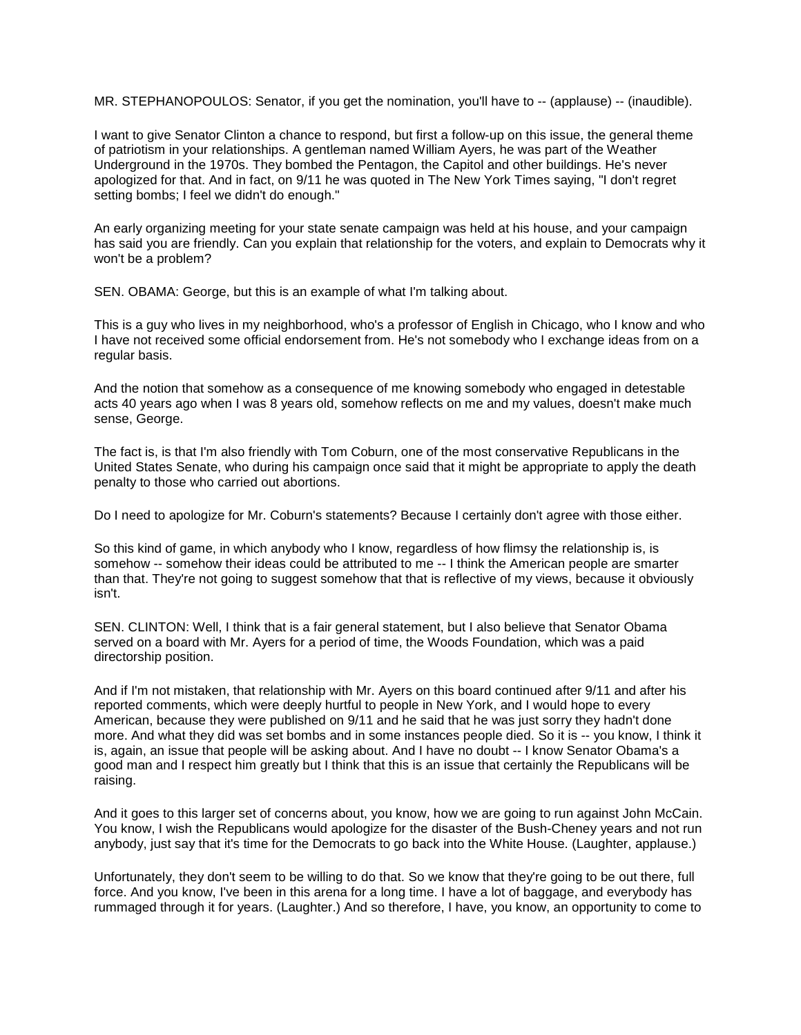MR. STEPHANOPOULOS: Senator, if you get the nomination, you'll have to -- (applause) -- (inaudible).

I want to give Senator Clinton a chance to respond, but first a follow-up on this issue, the general theme of patriotism in your relationships. A gentleman named William Ayers, he was part of the Weather Underground in the 1970s. They bombed the Pentagon, the Capitol and other buildings. He's never apologized for that. And in fact, on 9/11 he was quoted in The New York Times saying, "I don't regret setting bombs; I feel we didn't do enough."

An early organizing meeting for your state senate campaign was held at his house, and your campaign has said you are friendly. Can you explain that relationship for the voters, and explain to Democrats why it won't be a problem?

SEN. OBAMA: George, but this is an example of what I'm talking about.

This is a guy who lives in my neighborhood, who's a professor of English in Chicago, who I know and who I have not received some official endorsement from. He's not somebody who I exchange ideas from on a regular basis.

And the notion that somehow as a consequence of me knowing somebody who engaged in detestable acts 40 years ago when I was 8 years old, somehow reflects on me and my values, doesn't make much sense, George.

The fact is, is that I'm also friendly with Tom Coburn, one of the most conservative Republicans in the United States Senate, who during his campaign once said that it might be appropriate to apply the death penalty to those who carried out abortions.

Do I need to apologize for Mr. Coburn's statements? Because I certainly don't agree with those either.

So this kind of game, in which anybody who I know, regardless of how flimsy the relationship is, is somehow -- somehow their ideas could be attributed to me -- I think the American people are smarter than that. They're not going to suggest somehow that that is reflective of my views, because it obviously isn't.

SEN. CLINTON: Well, I think that is a fair general statement, but I also believe that Senator Obama served on a board with Mr. Ayers for a period of time, the Woods Foundation, which was a paid directorship position.

And if I'm not mistaken, that relationship with Mr. Ayers on this board continued after 9/11 and after his reported comments, which were deeply hurtful to people in New York, and I would hope to every American, because they were published on 9/11 and he said that he was just sorry they hadn't done more. And what they did was set bombs and in some instances people died. So it is -- you know, I think it is, again, an issue that people will be asking about. And I have no doubt -- I know Senator Obama's a good man and I respect him greatly but I think that this is an issue that certainly the Republicans will be raising.

And it goes to this larger set of concerns about, you know, how we are going to run against John McCain. You know, I wish the Republicans would apologize for the disaster of the Bush-Cheney years and not run anybody, just say that it's time for the Democrats to go back into the White House. (Laughter, applause.)

Unfortunately, they don't seem to be willing to do that. So we know that they're going to be out there, full force. And you know, I've been in this arena for a long time. I have a lot of baggage, and everybody has rummaged through it for years. (Laughter.) And so therefore, I have, you know, an opportunity to come to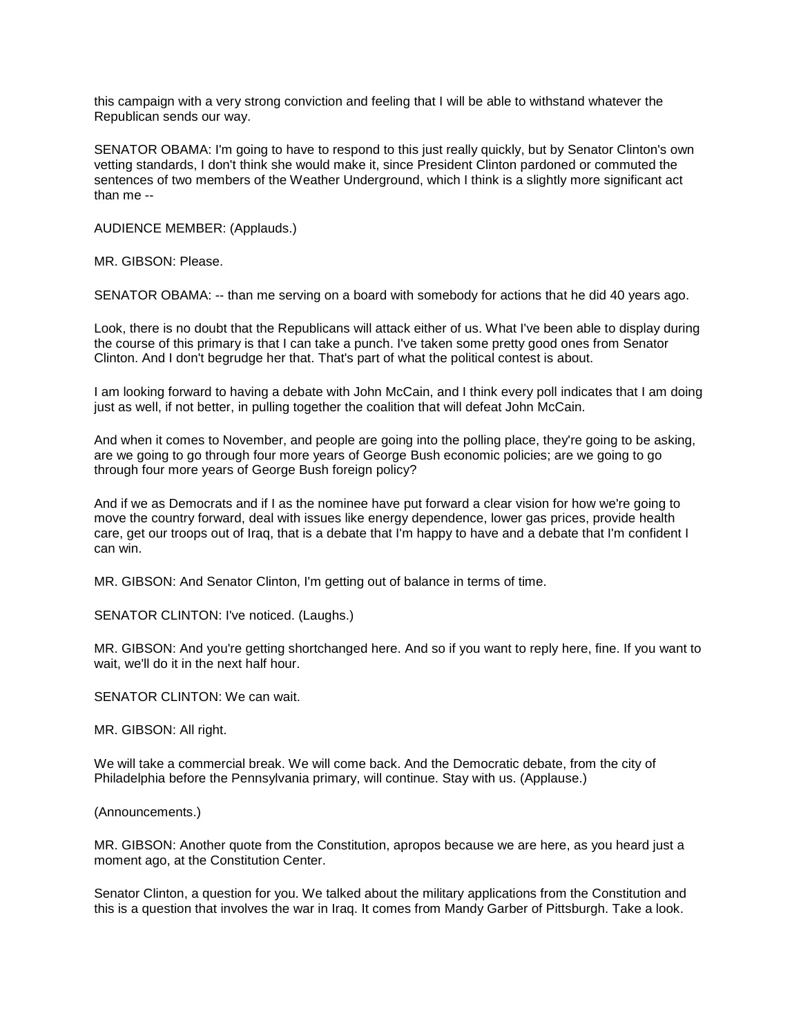this campaign with a very strong conviction and feeling that I will be able to withstand whatever the Republican sends our way.

SENATOR OBAMA: I'm going to have to respond to this just really quickly, but by Senator Clinton's own vetting standards, I don't think she would make it, since President Clinton pardoned or commuted the sentences of two members of the Weather Underground, which I think is a slightly more significant act than me --

AUDIENCE MEMBER: (Applauds.)

MR. GIBSON: Please.

SENATOR OBAMA: -- than me serving on a board with somebody for actions that he did 40 years ago.

Look, there is no doubt that the Republicans will attack either of us. What I've been able to display during the course of this primary is that I can take a punch. I've taken some pretty good ones from Senator Clinton. And I don't begrudge her that. That's part of what the political contest is about.

I am looking forward to having a debate with John McCain, and I think every poll indicates that I am doing just as well, if not better, in pulling together the coalition that will defeat John McCain.

And when it comes to November, and people are going into the polling place, they're going to be asking, are we going to go through four more years of George Bush economic policies; are we going to go through four more years of George Bush foreign policy?

And if we as Democrats and if I as the nominee have put forward a clear vision for how we're going to move the country forward, deal with issues like energy dependence, lower gas prices, provide health care, get our troops out of Iraq, that is a debate that I'm happy to have and a debate that I'm confident I can win.

MR. GIBSON: And Senator Clinton, I'm getting out of balance in terms of time.

SENATOR CLINTON: I've noticed. (Laughs.)

MR. GIBSON: And you're getting shortchanged here. And so if you want to reply here, fine. If you want to wait, we'll do it in the next half hour.

SENATOR CLINTON: We can wait.

MR. GIBSON: All right.

We will take a commercial break. We will come back. And the Democratic debate, from the city of Philadelphia before the Pennsylvania primary, will continue. Stay with us. (Applause.)

(Announcements.)

MR. GIBSON: Another quote from the Constitution, apropos because we are here, as you heard just a moment ago, at the Constitution Center.

Senator Clinton, a question for you. We talked about the military applications from the Constitution and this is a question that involves the war in Iraq. It comes from Mandy Garber of Pittsburgh. Take a look.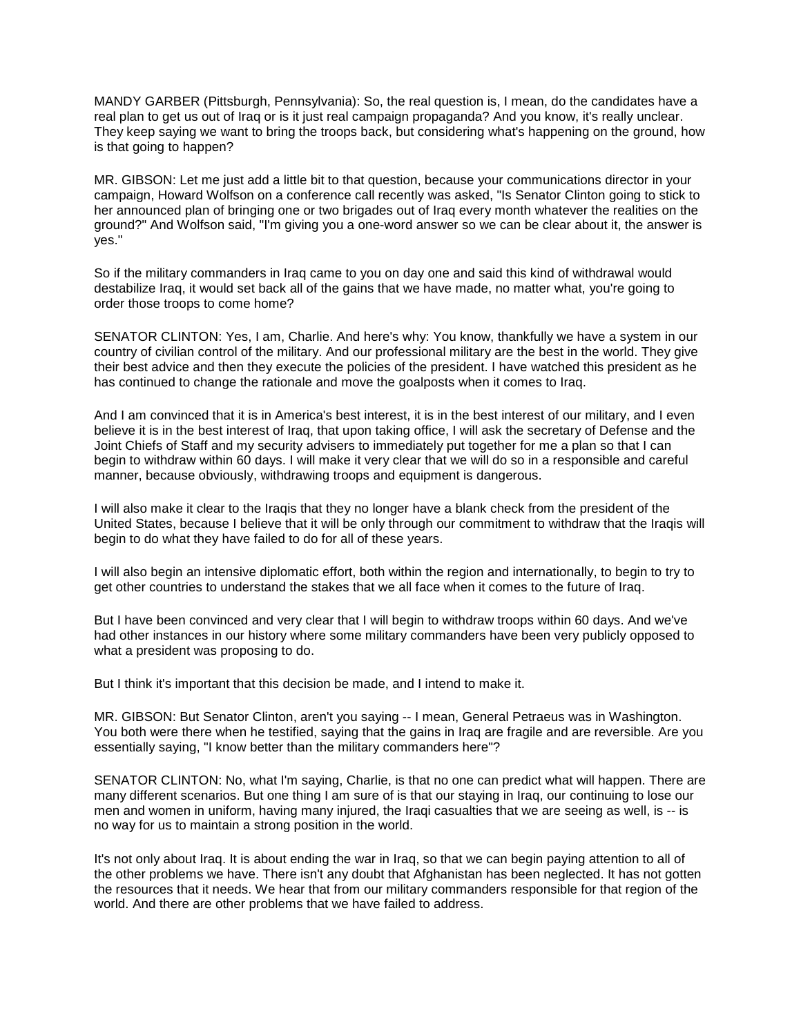MANDY GARBER (Pittsburgh, Pennsylvania): So, the real question is, I mean, do the candidates have a real plan to get us out of Iraq or is it just real campaign propaganda? And you know, it's really unclear. They keep saying we want to bring the troops back, but considering what's happening on the ground, how is that going to happen?

MR. GIBSON: Let me just add a little bit to that question, because your communications director in your campaign, Howard Wolfson on a conference call recently was asked, "Is Senator Clinton going to stick to her announced plan of bringing one or two brigades out of Iraq every month whatever the realities on the ground?" And Wolfson said, "I'm giving you a one-word answer so we can be clear about it, the answer is yes."

So if the military commanders in Iraq came to you on day one and said this kind of withdrawal would destabilize Iraq, it would set back all of the gains that we have made, no matter what, you're going to order those troops to come home?

SENATOR CLINTON: Yes, I am, Charlie. And here's why: You know, thankfully we have a system in our country of civilian control of the military. And our professional military are the best in the world. They give their best advice and then they execute the policies of the president. I have watched this president as he has continued to change the rationale and move the goalposts when it comes to Iraq.

And I am convinced that it is in America's best interest, it is in the best interest of our military, and I even believe it is in the best interest of Iraq, that upon taking office, I will ask the secretary of Defense and the Joint Chiefs of Staff and my security advisers to immediately put together for me a plan so that I can begin to withdraw within 60 days. I will make it very clear that we will do so in a responsible and careful manner, because obviously, withdrawing troops and equipment is dangerous.

I will also make it clear to the Iraqis that they no longer have a blank check from the president of the United States, because I believe that it will be only through our commitment to withdraw that the Iraqis will begin to do what they have failed to do for all of these years.

I will also begin an intensive diplomatic effort, both within the region and internationally, to begin to try to get other countries to understand the stakes that we all face when it comes to the future of Iraq.

But I have been convinced and very clear that I will begin to withdraw troops within 60 days. And we've had other instances in our history where some military commanders have been very publicly opposed to what a president was proposing to do.

But I think it's important that this decision be made, and I intend to make it.

MR. GIBSON: But Senator Clinton, aren't you saying -- I mean, General Petraeus was in Washington. You both were there when he testified, saying that the gains in Iraq are fragile and are reversible. Are you essentially saying, "I know better than the military commanders here"?

SENATOR CLINTON: No, what I'm saying, Charlie, is that no one can predict what will happen. There are many different scenarios. But one thing I am sure of is that our staying in Iraq, our continuing to lose our men and women in uniform, having many injured, the Iraqi casualties that we are seeing as well, is -- is no way for us to maintain a strong position in the world.

It's not only about Iraq. It is about ending the war in Iraq, so that we can begin paying attention to all of the other problems we have. There isn't any doubt that Afghanistan has been neglected. It has not gotten the resources that it needs. We hear that from our military commanders responsible for that region of the world. And there are other problems that we have failed to address.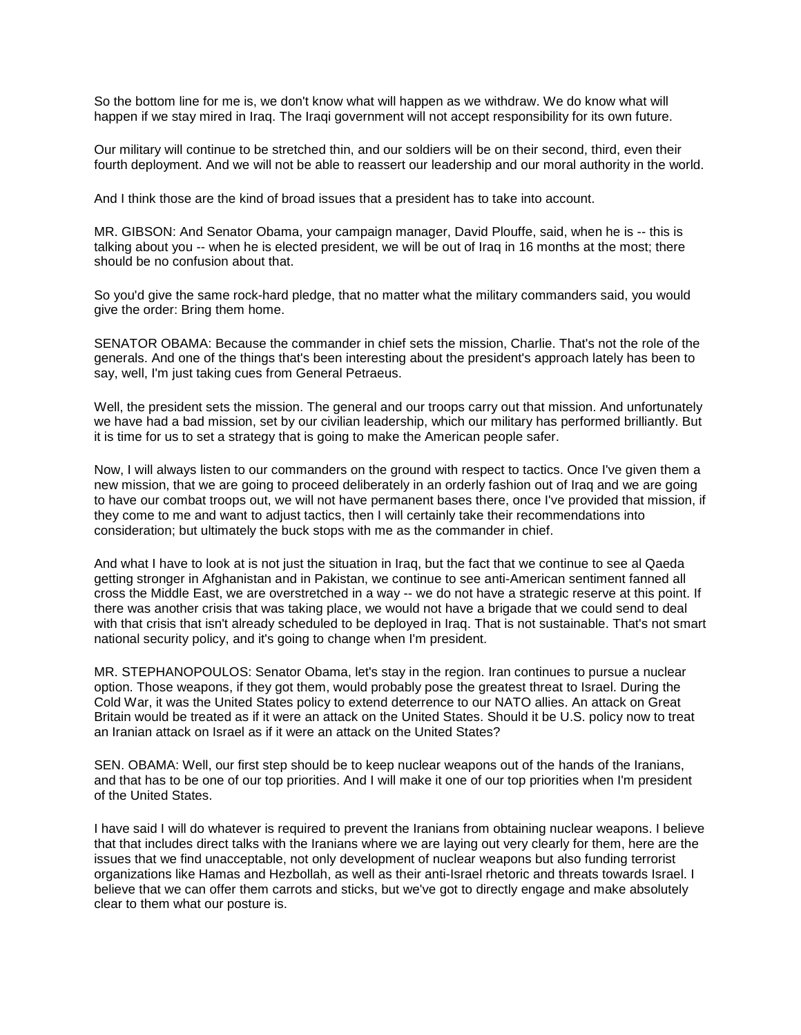So the bottom line for me is, we don't know what will happen as we withdraw. We do know what will happen if we stay mired in Iraq. The Iraqi government will not accept responsibility for its own future.

Our military will continue to be stretched thin, and our soldiers will be on their second, third, even their fourth deployment. And we will not be able to reassert our leadership and our moral authority in the world.

And I think those are the kind of broad issues that a president has to take into account.

MR. GIBSON: And Senator Obama, your campaign manager, David Plouffe, said, when he is -- this is talking about you -- when he is elected president, we will be out of Iraq in 16 months at the most; there should be no confusion about that.

So you'd give the same rock-hard pledge, that no matter what the military commanders said, you would give the order: Bring them home.

SENATOR OBAMA: Because the commander in chief sets the mission, Charlie. That's not the role of the generals. And one of the things that's been interesting about the president's approach lately has been to say, well, I'm just taking cues from General Petraeus.

Well, the president sets the mission. The general and our troops carry out that mission. And unfortunately we have had a bad mission, set by our civilian leadership, which our military has performed brilliantly. But it is time for us to set a strategy that is going to make the American people safer.

Now, I will always listen to our commanders on the ground with respect to tactics. Once I've given them a new mission, that we are going to proceed deliberately in an orderly fashion out of Iraq and we are going to have our combat troops out, we will not have permanent bases there, once I've provided that mission, if they come to me and want to adjust tactics, then I will certainly take their recommendations into consideration; but ultimately the buck stops with me as the commander in chief.

And what I have to look at is not just the situation in Iraq, but the fact that we continue to see al Qaeda getting stronger in Afghanistan and in Pakistan, we continue to see anti-American sentiment fanned all cross the Middle East, we are overstretched in a way -- we do not have a strategic reserve at this point. If there was another crisis that was taking place, we would not have a brigade that we could send to deal with that crisis that isn't already scheduled to be deployed in Iraq. That is not sustainable. That's not smart national security policy, and it's going to change when I'm president.

MR. STEPHANOPOULOS: Senator Obama, let's stay in the region. Iran continues to pursue a nuclear option. Those weapons, if they got them, would probably pose the greatest threat to Israel. During the Cold War, it was the United States policy to extend deterrence to our NATO allies. An attack on Great Britain would be treated as if it were an attack on the United States. Should it be U.S. policy now to treat an Iranian attack on Israel as if it were an attack on the United States?

SEN. OBAMA: Well, our first step should be to keep nuclear weapons out of the hands of the Iranians, and that has to be one of our top priorities. And I will make it one of our top priorities when I'm president of the United States.

I have said I will do whatever is required to prevent the Iranians from obtaining nuclear weapons. I believe that that includes direct talks with the Iranians where we are laying out very clearly for them, here are the issues that we find unacceptable, not only development of nuclear weapons but also funding terrorist organizations like Hamas and Hezbollah, as well as their anti-Israel rhetoric and threats towards Israel. I believe that we can offer them carrots and sticks, but we've got to directly engage and make absolutely clear to them what our posture is.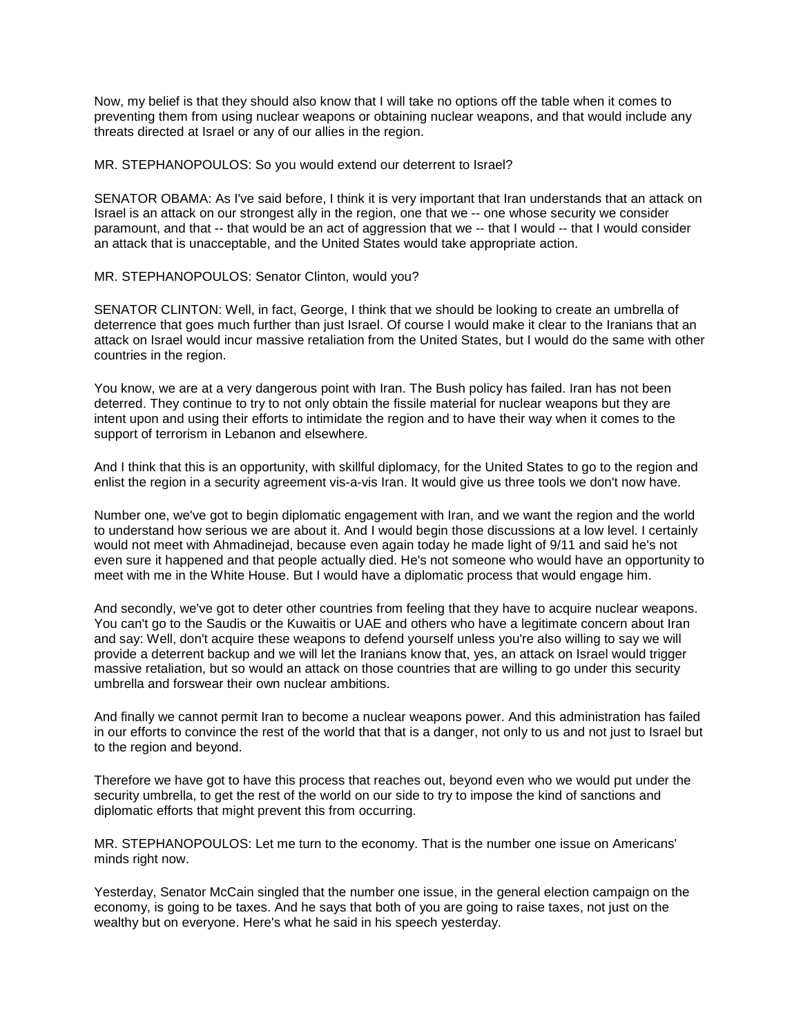Now, my belief is that they should also know that I will take no options off the table when it comes to preventing them from using nuclear weapons or obtaining nuclear weapons, and that would include any threats directed at Israel or any of our allies in the region.

MR. STEPHANOPOULOS: So you would extend our deterrent to Israel?

SENATOR OBAMA: As I've said before, I think it is very important that Iran understands that an attack on Israel is an attack on our strongest ally in the region, one that we -- one whose security we consider paramount, and that -- that would be an act of aggression that we -- that I would -- that I would consider an attack that is unacceptable, and the United States would take appropriate action.

MR. STEPHANOPOULOS: Senator Clinton, would you?

SENATOR CLINTON: Well, in fact, George, I think that we should be looking to create an umbrella of deterrence that goes much further than just Israel. Of course I would make it clear to the Iranians that an attack on Israel would incur massive retaliation from the United States, but I would do the same with other countries in the region.

You know, we are at a very dangerous point with Iran. The Bush policy has failed. Iran has not been deterred. They continue to try to not only obtain the fissile material for nuclear weapons but they are intent upon and using their efforts to intimidate the region and to have their way when it comes to the support of terrorism in Lebanon and elsewhere.

And I think that this is an opportunity, with skillful diplomacy, for the United States to go to the region and enlist the region in a security agreement vis-a-vis Iran. It would give us three tools we don't now have.

Number one, we've got to begin diplomatic engagement with Iran, and we want the region and the world to understand how serious we are about it. And I would begin those discussions at a low level. I certainly would not meet with Ahmadinejad, because even again today he made light of 9/11 and said he's not even sure it happened and that people actually died. He's not someone who would have an opportunity to meet with me in the White House. But I would have a diplomatic process that would engage him.

And secondly, we've got to deter other countries from feeling that they have to acquire nuclear weapons. You can't go to the Saudis or the Kuwaitis or UAE and others who have a legitimate concern about Iran and say: Well, don't acquire these weapons to defend yourself unless you're also willing to say we will provide a deterrent backup and we will let the Iranians know that, yes, an attack on Israel would trigger massive retaliation, but so would an attack on those countries that are willing to go under this security umbrella and forswear their own nuclear ambitions.

And finally we cannot permit Iran to become a nuclear weapons power. And this administration has failed in our efforts to convince the rest of the world that that is a danger, not only to us and not just to Israel but to the region and beyond.

Therefore we have got to have this process that reaches out, beyond even who we would put under the security umbrella, to get the rest of the world on our side to try to impose the kind of sanctions and diplomatic efforts that might prevent this from occurring.

MR. STEPHANOPOULOS: Let me turn to the economy. That is the number one issue on Americans' minds right now.

Yesterday, Senator McCain singled that the number one issue, in the general election campaign on the economy, is going to be taxes. And he says that both of you are going to raise taxes, not just on the wealthy but on everyone. Here's what he said in his speech yesterday.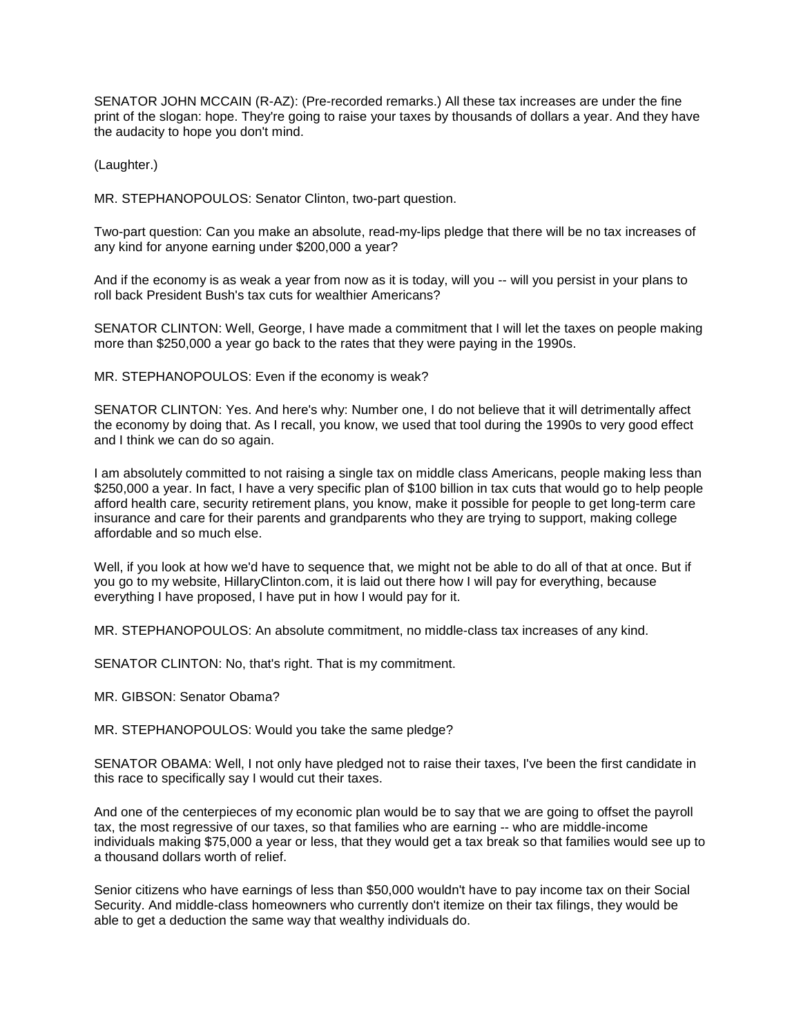SENATOR JOHN MCCAIN (R-AZ): (Pre-recorded remarks.) All these tax increases are under the fine print of the slogan: hope. They're going to raise your taxes by thousands of dollars a year. And they have the audacity to hope you don't mind.

(Laughter.)

MR. STEPHANOPOULOS: Senator Clinton, two-part question.

Two-part question: Can you make an absolute, read-my-lips pledge that there will be no tax increases of any kind for anyone earning under \$200,000 a year?

And if the economy is as weak a year from now as it is today, will you -- will you persist in your plans to roll back President Bush's tax cuts for wealthier Americans?

SENATOR CLINTON: Well, George, I have made a commitment that I will let the taxes on people making more than \$250,000 a year go back to the rates that they were paying in the 1990s.

MR. STEPHANOPOULOS: Even if the economy is weak?

SENATOR CLINTON: Yes. And here's why: Number one, I do not believe that it will detrimentally affect the economy by doing that. As I recall, you know, we used that tool during the 1990s to very good effect and I think we can do so again.

I am absolutely committed to not raising a single tax on middle class Americans, people making less than \$250,000 a year. In fact, I have a very specific plan of \$100 billion in tax cuts that would go to help people afford health care, security retirement plans, you know, make it possible for people to get long-term care insurance and care for their parents and grandparents who they are trying to support, making college affordable and so much else.

Well, if you look at how we'd have to sequence that, we might not be able to do all of that at once. But if you go to my website, HillaryClinton.com, it is laid out there how I will pay for everything, because everything I have proposed, I have put in how I would pay for it.

MR. STEPHANOPOULOS: An absolute commitment, no middle-class tax increases of any kind.

SENATOR CLINTON: No, that's right. That is my commitment.

MR. GIBSON: Senator Obama?

MR. STEPHANOPOULOS: Would you take the same pledge?

SENATOR OBAMA: Well, I not only have pledged not to raise their taxes, I've been the first candidate in this race to specifically say I would cut their taxes.

And one of the centerpieces of my economic plan would be to say that we are going to offset the payroll tax, the most regressive of our taxes, so that families who are earning -- who are middle-income individuals making \$75,000 a year or less, that they would get a tax break so that families would see up to a thousand dollars worth of relief.

Senior citizens who have earnings of less than \$50,000 wouldn't have to pay income tax on their Social Security. And middle-class homeowners who currently don't itemize on their tax filings, they would be able to get a deduction the same way that wealthy individuals do.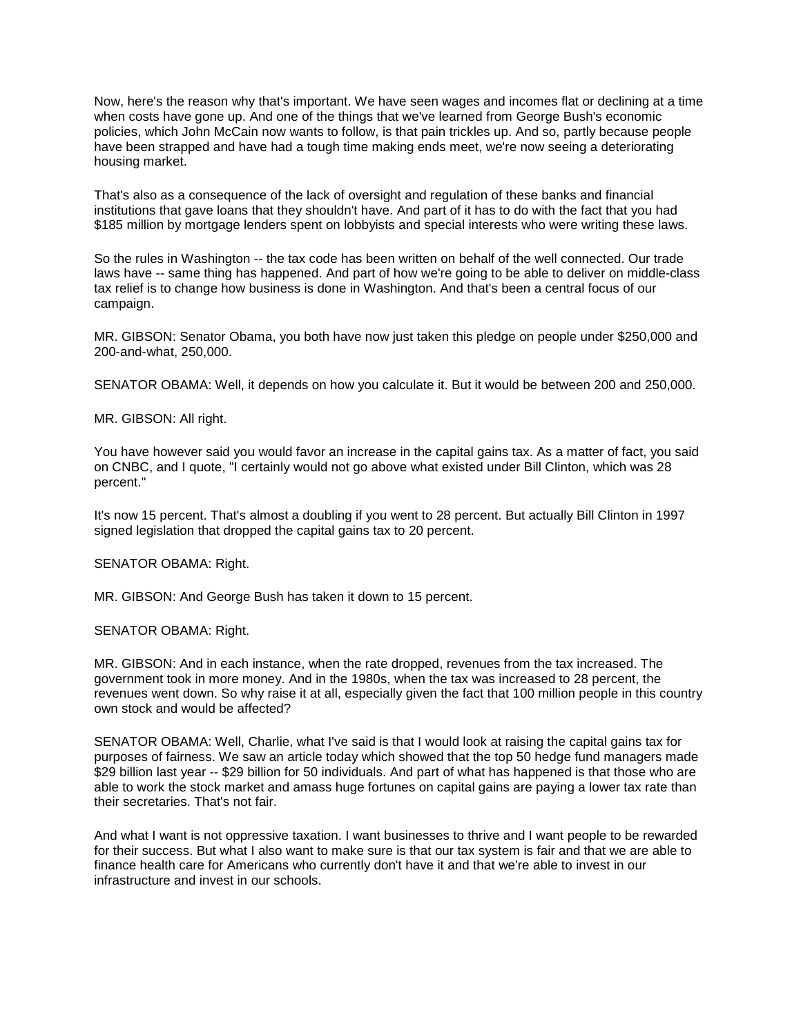Now, here's the reason why that's important. We have seen wages and incomes flat or declining at a time when costs have gone up. And one of the things that we've learned from George Bush's economic policies, which John McCain now wants to follow, is that pain trickles up. And so, partly because people have been strapped and have had a tough time making ends meet, we're now seeing a deteriorating housing market.

That's also as a consequence of the lack of oversight and regulation of these banks and financial institutions that gave loans that they shouldn't have. And part of it has to do with the fact that you had \$185 million by mortgage lenders spent on lobbyists and special interests who were writing these laws.

So the rules in Washington -- the tax code has been written on behalf of the well connected. Our trade laws have -- same thing has happened. And part of how we're going to be able to deliver on middle-class tax relief is to change how business is done in Washington. And that's been a central focus of our campaign.

MR. GIBSON: Senator Obama, you both have now just taken this pledge on people under \$250,000 and 200-and-what, 250,000.

SENATOR OBAMA: Well, it depends on how you calculate it. But it would be between 200 and 250,000.

MR. GIBSON: All right.

You have however said you would favor an increase in the capital gains tax. As a matter of fact, you said on CNBC, and I quote, "I certainly would not go above what existed under Bill Clinton, which was 28 percent."

It's now 15 percent. That's almost a doubling if you went to 28 percent. But actually Bill Clinton in 1997 signed legislation that dropped the capital gains tax to 20 percent.

SENATOR OBAMA: Right.

MR. GIBSON: And George Bush has taken it down to 15 percent.

SENATOR OBAMA: Right.

MR. GIBSON: And in each instance, when the rate dropped, revenues from the tax increased. The government took in more money. And in the 1980s, when the tax was increased to 28 percent, the revenues went down. So why raise it at all, especially given the fact that 100 million people in this country own stock and would be affected?

SENATOR OBAMA: Well, Charlie, what I've said is that I would look at raising the capital gains tax for purposes of fairness. We saw an article today which showed that the top 50 hedge fund managers made \$29 billion last year -- \$29 billion for 50 individuals. And part of what has happened is that those who are able to work the stock market and amass huge fortunes on capital gains are paying a lower tax rate than their secretaries. That's not fair.

And what I want is not oppressive taxation. I want businesses to thrive and I want people to be rewarded for their success. But what I also want to make sure is that our tax system is fair and that we are able to finance health care for Americans who currently don't have it and that we're able to invest in our infrastructure and invest in our schools.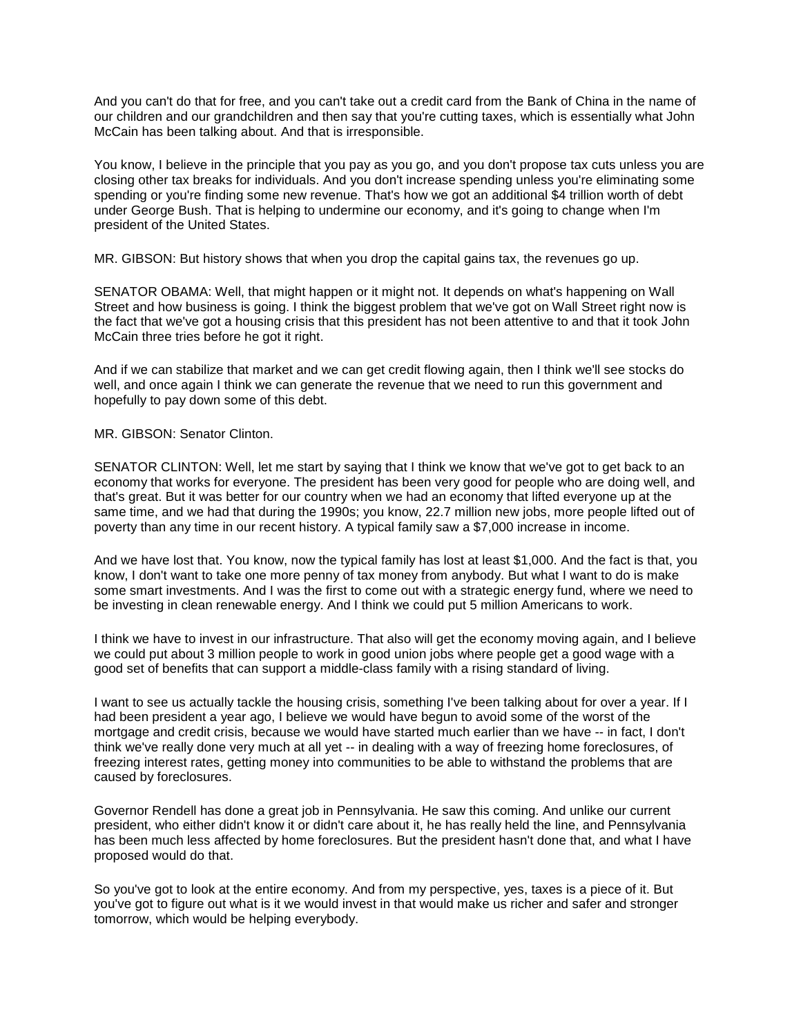And you can't do that for free, and you can't take out a credit card from the Bank of China in the name of our children and our grandchildren and then say that you're cutting taxes, which is essentially what John McCain has been talking about. And that is irresponsible.

You know, I believe in the principle that you pay as you go, and you don't propose tax cuts unless you are closing other tax breaks for individuals. And you don't increase spending unless you're eliminating some spending or you're finding some new revenue. That's how we got an additional \$4 trillion worth of debt under George Bush. That is helping to undermine our economy, and it's going to change when I'm president of the United States.

MR. GIBSON: But history shows that when you drop the capital gains tax, the revenues go up.

SENATOR OBAMA: Well, that might happen or it might not. It depends on what's happening on Wall Street and how business is going. I think the biggest problem that we've got on Wall Street right now is the fact that we've got a housing crisis that this president has not been attentive to and that it took John McCain three tries before he got it right.

And if we can stabilize that market and we can get credit flowing again, then I think we'll see stocks do well, and once again I think we can generate the revenue that we need to run this government and hopefully to pay down some of this debt.

MR. GIBSON: Senator Clinton.

SENATOR CLINTON: Well, let me start by saying that I think we know that we've got to get back to an economy that works for everyone. The president has been very good for people who are doing well, and that's great. But it was better for our country when we had an economy that lifted everyone up at the same time, and we had that during the 1990s; you know, 22.7 million new jobs, more people lifted out of poverty than any time in our recent history. A typical family saw a \$7,000 increase in income.

And we have lost that. You know, now the typical family has lost at least \$1,000. And the fact is that, you know, I don't want to take one more penny of tax money from anybody. But what I want to do is make some smart investments. And I was the first to come out with a strategic energy fund, where we need to be investing in clean renewable energy. And I think we could put 5 million Americans to work.

I think we have to invest in our infrastructure. That also will get the economy moving again, and I believe we could put about 3 million people to work in good union jobs where people get a good wage with a good set of benefits that can support a middle-class family with a rising standard of living.

I want to see us actually tackle the housing crisis, something I've been talking about for over a year. If I had been president a year ago, I believe we would have begun to avoid some of the worst of the mortgage and credit crisis, because we would have started much earlier than we have -- in fact, I don't think we've really done very much at all yet -- in dealing with a way of freezing home foreclosures, of freezing interest rates, getting money into communities to be able to withstand the problems that are caused by foreclosures.

Governor Rendell has done a great job in Pennsylvania. He saw this coming. And unlike our current president, who either didn't know it or didn't care about it, he has really held the line, and Pennsylvania has been much less affected by home foreclosures. But the president hasn't done that, and what I have proposed would do that.

So you've got to look at the entire economy. And from my perspective, yes, taxes is a piece of it. But you've got to figure out what is it we would invest in that would make us richer and safer and stronger tomorrow, which would be helping everybody.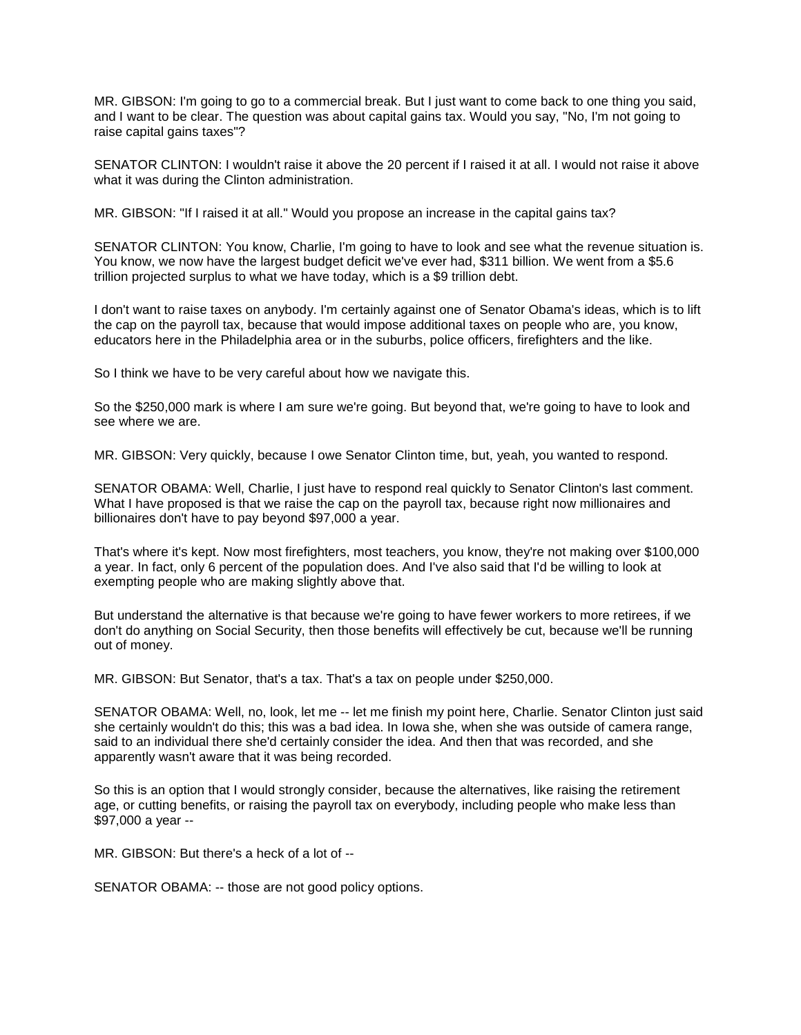MR. GIBSON: I'm going to go to a commercial break. But I just want to come back to one thing you said, and I want to be clear. The question was about capital gains tax. Would you say, "No, I'm not going to raise capital gains taxes"?

SENATOR CLINTON: I wouldn't raise it above the 20 percent if I raised it at all. I would not raise it above what it was during the Clinton administration.

MR. GIBSON: "If I raised it at all." Would you propose an increase in the capital gains tax?

SENATOR CLINTON: You know, Charlie, I'm going to have to look and see what the revenue situation is. You know, we now have the largest budget deficit we've ever had, \$311 billion. We went from a \$5.6 trillion projected surplus to what we have today, which is a \$9 trillion debt.

I don't want to raise taxes on anybody. I'm certainly against one of Senator Obama's ideas, which is to lift the cap on the payroll tax, because that would impose additional taxes on people who are, you know, educators here in the Philadelphia area or in the suburbs, police officers, firefighters and the like.

So I think we have to be very careful about how we navigate this.

So the \$250,000 mark is where I am sure we're going. But beyond that, we're going to have to look and see where we are.

MR. GIBSON: Very quickly, because I owe Senator Clinton time, but, yeah, you wanted to respond.

SENATOR OBAMA: Well, Charlie, I just have to respond real quickly to Senator Clinton's last comment. What I have proposed is that we raise the cap on the payroll tax, because right now millionaires and billionaires don't have to pay beyond \$97,000 a year.

That's where it's kept. Now most firefighters, most teachers, you know, they're not making over \$100,000 a year. In fact, only 6 percent of the population does. And I've also said that I'd be willing to look at exempting people who are making slightly above that.

But understand the alternative is that because we're going to have fewer workers to more retirees, if we don't do anything on Social Security, then those benefits will effectively be cut, because we'll be running out of money.

MR. GIBSON: But Senator, that's a tax. That's a tax on people under \$250,000.

SENATOR OBAMA: Well, no, look, let me -- let me finish my point here, Charlie. Senator Clinton just said she certainly wouldn't do this; this was a bad idea. In Iowa she, when she was outside of camera range, said to an individual there she'd certainly consider the idea. And then that was recorded, and she apparently wasn't aware that it was being recorded.

So this is an option that I would strongly consider, because the alternatives, like raising the retirement age, or cutting benefits, or raising the payroll tax on everybody, including people who make less than \$97,000 a year --

MR. GIBSON: But there's a heck of a lot of --

SENATOR OBAMA: -- those are not good policy options.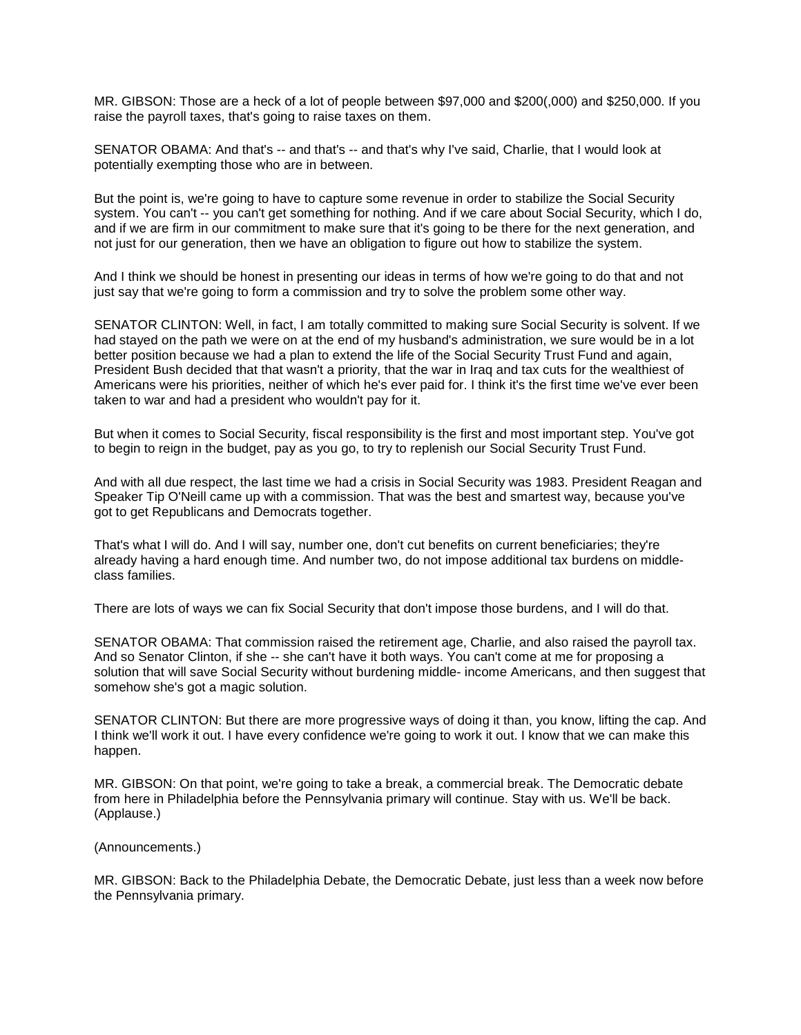MR. GIBSON: Those are a heck of a lot of people between \$97,000 and \$200(,000) and \$250,000. If you raise the payroll taxes, that's going to raise taxes on them.

SENATOR OBAMA: And that's -- and that's -- and that's why I've said, Charlie, that I would look at potentially exempting those who are in between.

But the point is, we're going to have to capture some revenue in order to stabilize the Social Security system. You can't -- you can't get something for nothing. And if we care about Social Security, which I do, and if we are firm in our commitment to make sure that it's going to be there for the next generation, and not just for our generation, then we have an obligation to figure out how to stabilize the system.

And I think we should be honest in presenting our ideas in terms of how we're going to do that and not just say that we're going to form a commission and try to solve the problem some other way.

SENATOR CLINTON: Well, in fact, I am totally committed to making sure Social Security is solvent. If we had stayed on the path we were on at the end of my husband's administration, we sure would be in a lot better position because we had a plan to extend the life of the Social Security Trust Fund and again, President Bush decided that that wasn't a priority, that the war in Iraq and tax cuts for the wealthiest of Americans were his priorities, neither of which he's ever paid for. I think it's the first time we've ever been taken to war and had a president who wouldn't pay for it.

But when it comes to Social Security, fiscal responsibility is the first and most important step. You've got to begin to reign in the budget, pay as you go, to try to replenish our Social Security Trust Fund.

And with all due respect, the last time we had a crisis in Social Security was 1983. President Reagan and Speaker Tip O'Neill came up with a commission. That was the best and smartest way, because you've got to get Republicans and Democrats together.

That's what I will do. And I will say, number one, don't cut benefits on current beneficiaries; they're already having a hard enough time. And number two, do not impose additional tax burdens on middleclass families.

There are lots of ways we can fix Social Security that don't impose those burdens, and I will do that.

SENATOR OBAMA: That commission raised the retirement age, Charlie, and also raised the payroll tax. And so Senator Clinton, if she -- she can't have it both ways. You can't come at me for proposing a solution that will save Social Security without burdening middle- income Americans, and then suggest that somehow she's got a magic solution.

SENATOR CLINTON: But there are more progressive ways of doing it than, you know, lifting the cap. And I think we'll work it out. I have every confidence we're going to work it out. I know that we can make this happen.

MR. GIBSON: On that point, we're going to take a break, a commercial break. The Democratic debate from here in Philadelphia before the Pennsylvania primary will continue. Stay with us. We'll be back. (Applause.)

(Announcements.)

MR. GIBSON: Back to the Philadelphia Debate, the Democratic Debate, just less than a week now before the Pennsylvania primary.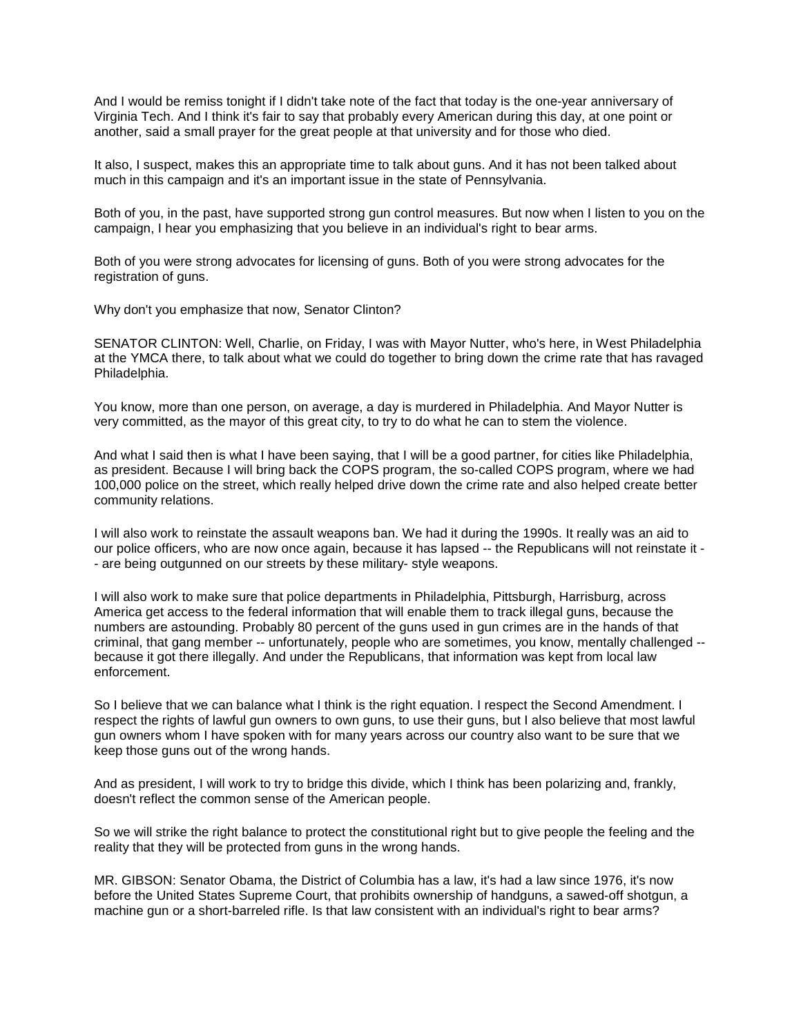And I would be remiss tonight if I didn't take note of the fact that today is the one-year anniversary of Virginia Tech. And I think it's fair to say that probably every American during this day, at one point or another, said a small prayer for the great people at that university and for those who died.

It also, I suspect, makes this an appropriate time to talk about guns. And it has not been talked about much in this campaign and it's an important issue in the state of Pennsylvania.

Both of you, in the past, have supported strong gun control measures. But now when I listen to you on the campaign, I hear you emphasizing that you believe in an individual's right to bear arms.

Both of you were strong advocates for licensing of guns. Both of you were strong advocates for the registration of guns.

Why don't you emphasize that now, Senator Clinton?

SENATOR CLINTON: Well, Charlie, on Friday, I was with Mayor Nutter, who's here, in West Philadelphia at the YMCA there, to talk about what we could do together to bring down the crime rate that has ravaged Philadelphia.

You know, more than one person, on average, a day is murdered in Philadelphia. And Mayor Nutter is very committed, as the mayor of this great city, to try to do what he can to stem the violence.

And what I said then is what I have been saying, that I will be a good partner, for cities like Philadelphia, as president. Because I will bring back the COPS program, the so-called COPS program, where we had 100,000 police on the street, which really helped drive down the crime rate and also helped create better community relations.

I will also work to reinstate the assault weapons ban. We had it during the 1990s. It really was an aid to our police officers, who are now once again, because it has lapsed -- the Republicans will not reinstate it - - are being outgunned on our streets by these military- style weapons.

I will also work to make sure that police departments in Philadelphia, Pittsburgh, Harrisburg, across America get access to the federal information that will enable them to track illegal guns, because the numbers are astounding. Probably 80 percent of the guns used in gun crimes are in the hands of that criminal, that gang member -- unfortunately, people who are sometimes, you know, mentally challenged - because it got there illegally. And under the Republicans, that information was kept from local law enforcement.

So I believe that we can balance what I think is the right equation. I respect the Second Amendment. I respect the rights of lawful gun owners to own guns, to use their guns, but I also believe that most lawful gun owners whom I have spoken with for many years across our country also want to be sure that we keep those guns out of the wrong hands.

And as president, I will work to try to bridge this divide, which I think has been polarizing and, frankly, doesn't reflect the common sense of the American people.

So we will strike the right balance to protect the constitutional right but to give people the feeling and the reality that they will be protected from guns in the wrong hands.

MR. GIBSON: Senator Obama, the District of Columbia has a law, it's had a law since 1976, it's now before the United States Supreme Court, that prohibits ownership of handguns, a sawed-off shotgun, a machine gun or a short-barreled rifle. Is that law consistent with an individual's right to bear arms?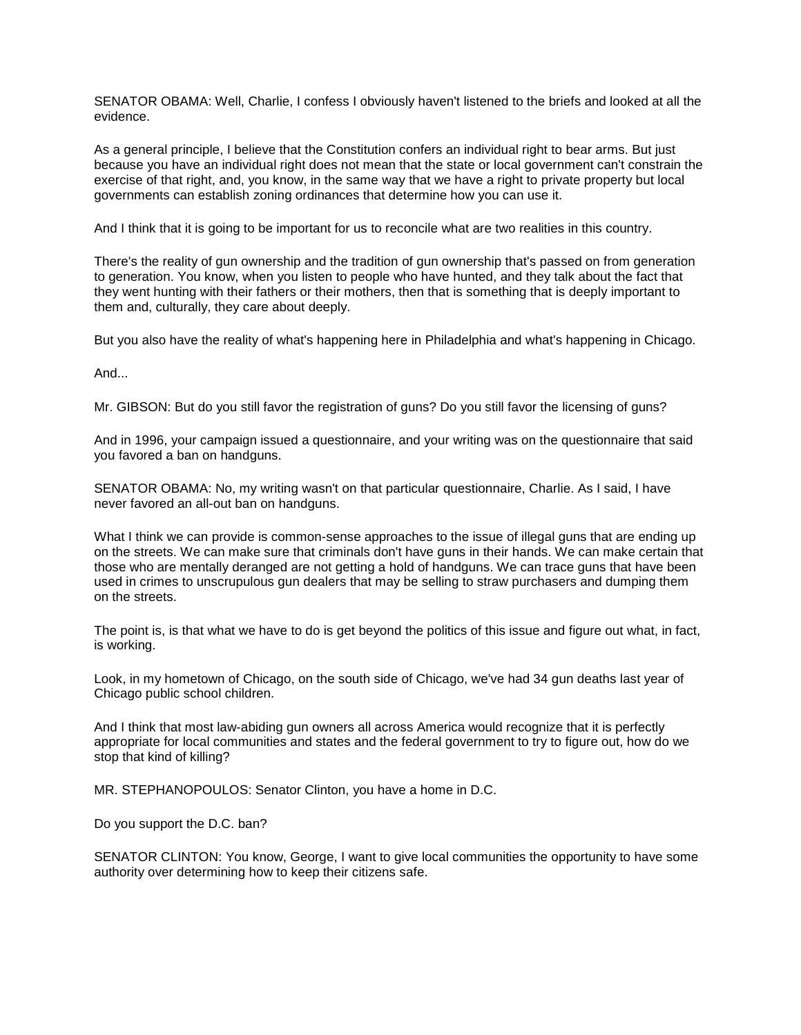SENATOR OBAMA: Well, Charlie, I confess I obviously haven't listened to the briefs and looked at all the evidence.

As a general principle, I believe that the Constitution confers an individual right to bear arms. But just because you have an individual right does not mean that the state or local government can't constrain the exercise of that right, and, you know, in the same way that we have a right to private property but local governments can establish zoning ordinances that determine how you can use it.

And I think that it is going to be important for us to reconcile what are two realities in this country.

There's the reality of gun ownership and the tradition of gun ownership that's passed on from generation to generation. You know, when you listen to people who have hunted, and they talk about the fact that they went hunting with their fathers or their mothers, then that is something that is deeply important to them and, culturally, they care about deeply.

But you also have the reality of what's happening here in Philadelphia and what's happening in Chicago.

And...

Mr. GIBSON: But do you still favor the registration of guns? Do you still favor the licensing of guns?

And in 1996, your campaign issued a questionnaire, and your writing was on the questionnaire that said you favored a ban on handguns.

SENATOR OBAMA: No, my writing wasn't on that particular questionnaire, Charlie. As I said, I have never favored an all-out ban on handguns.

What I think we can provide is common-sense approaches to the issue of illegal guns that are ending up on the streets. We can make sure that criminals don't have guns in their hands. We can make certain that those who are mentally deranged are not getting a hold of handguns. We can trace guns that have been used in crimes to unscrupulous gun dealers that may be selling to straw purchasers and dumping them on the streets.

The point is, is that what we have to do is get beyond the politics of this issue and figure out what, in fact, is working.

Look, in my hometown of Chicago, on the south side of Chicago, we've had 34 gun deaths last year of Chicago public school children.

And I think that most law-abiding gun owners all across America would recognize that it is perfectly appropriate for local communities and states and the federal government to try to figure out, how do we stop that kind of killing?

MR. STEPHANOPOULOS: Senator Clinton, you have a home in D.C.

Do you support the D.C. ban?

SENATOR CLINTON: You know, George, I want to give local communities the opportunity to have some authority over determining how to keep their citizens safe.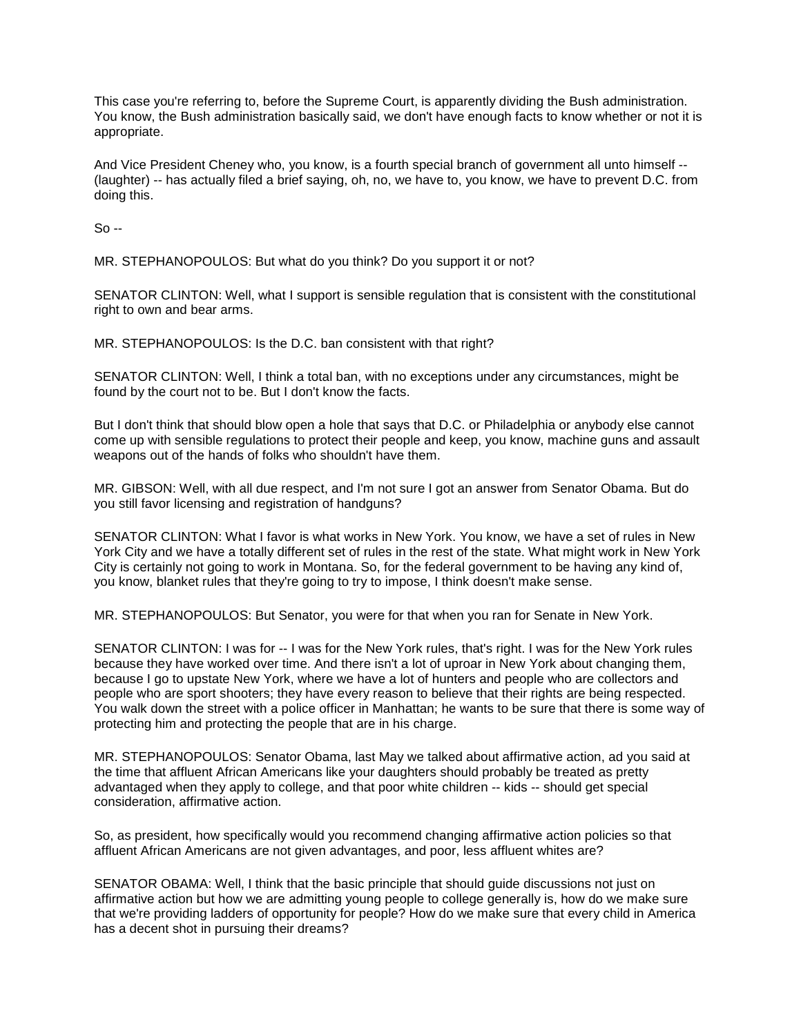This case you're referring to, before the Supreme Court, is apparently dividing the Bush administration. You know, the Bush administration basically said, we don't have enough facts to know whether or not it is appropriate.

And Vice President Cheney who, you know, is a fourth special branch of government all unto himself -- (laughter) -- has actually filed a brief saying, oh, no, we have to, you know, we have to prevent D.C. from doing this.

So --

MR. STEPHANOPOULOS: But what do you think? Do you support it or not?

SENATOR CLINTON: Well, what I support is sensible regulation that is consistent with the constitutional right to own and bear arms.

MR. STEPHANOPOULOS: Is the D.C. ban consistent with that right?

SENATOR CLINTON: Well, I think a total ban, with no exceptions under any circumstances, might be found by the court not to be. But I don't know the facts.

But I don't think that should blow open a hole that says that D.C. or Philadelphia or anybody else cannot come up with sensible regulations to protect their people and keep, you know, machine guns and assault weapons out of the hands of folks who shouldn't have them.

MR. GIBSON: Well, with all due respect, and I'm not sure I got an answer from Senator Obama. But do you still favor licensing and registration of handguns?

SENATOR CLINTON: What I favor is what works in New York. You know, we have a set of rules in New York City and we have a totally different set of rules in the rest of the state. What might work in New York City is certainly not going to work in Montana. So, for the federal government to be having any kind of, you know, blanket rules that they're going to try to impose, I think doesn't make sense.

MR. STEPHANOPOULOS: But Senator, you were for that when you ran for Senate in New York.

SENATOR CLINTON: I was for -- I was for the New York rules, that's right. I was for the New York rules because they have worked over time. And there isn't a lot of uproar in New York about changing them, because I go to upstate New York, where we have a lot of hunters and people who are collectors and people who are sport shooters; they have every reason to believe that their rights are being respected. You walk down the street with a police officer in Manhattan; he wants to be sure that there is some way of protecting him and protecting the people that are in his charge.

MR. STEPHANOPOULOS: Senator Obama, last May we talked about affirmative action, ad you said at the time that affluent African Americans like your daughters should probably be treated as pretty advantaged when they apply to college, and that poor white children -- kids -- should get special consideration, affirmative action.

So, as president, how specifically would you recommend changing affirmative action policies so that affluent African Americans are not given advantages, and poor, less affluent whites are?

SENATOR OBAMA: Well, I think that the basic principle that should guide discussions not just on affirmative action but how we are admitting young people to college generally is, how do we make sure that we're providing ladders of opportunity for people? How do we make sure that every child in America has a decent shot in pursuing their dreams?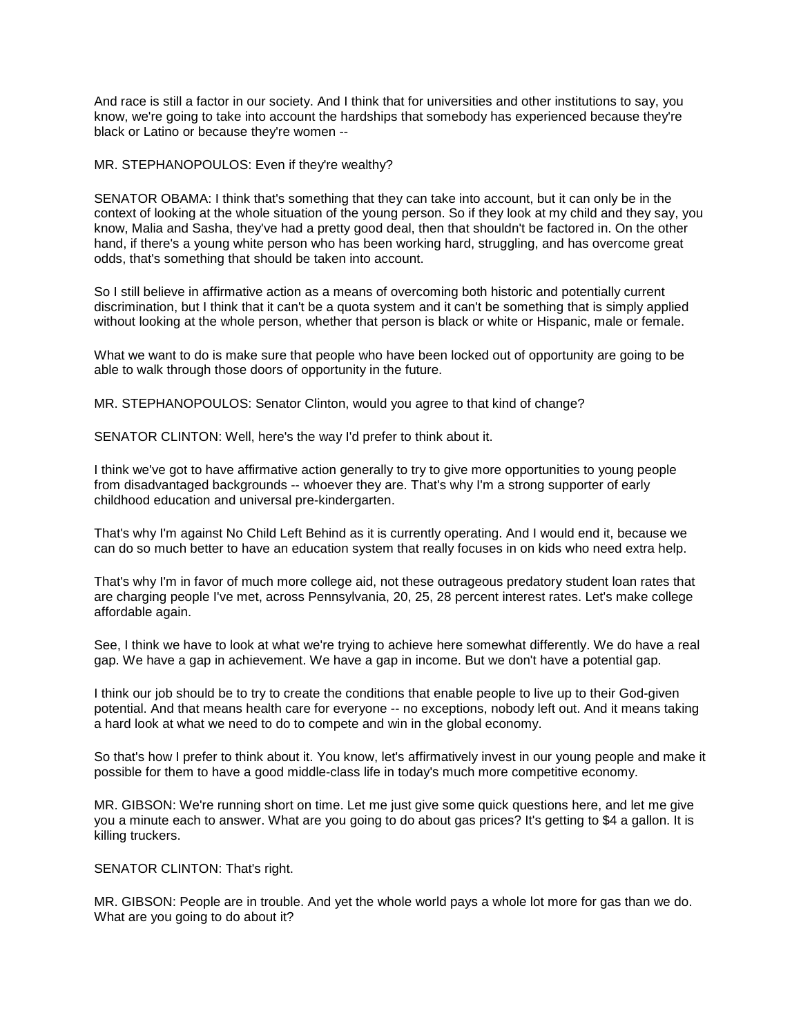And race is still a factor in our society. And I think that for universities and other institutions to say, you know, we're going to take into account the hardships that somebody has experienced because they're black or Latino or because they're women --

MR. STEPHANOPOULOS: Even if they're wealthy?

SENATOR OBAMA: I think that's something that they can take into account, but it can only be in the context of looking at the whole situation of the young person. So if they look at my child and they say, you know, Malia and Sasha, they've had a pretty good deal, then that shouldn't be factored in. On the other hand, if there's a young white person who has been working hard, struggling, and has overcome great odds, that's something that should be taken into account.

So I still believe in affirmative action as a means of overcoming both historic and potentially current discrimination, but I think that it can't be a quota system and it can't be something that is simply applied without looking at the whole person, whether that person is black or white or Hispanic, male or female.

What we want to do is make sure that people who have been locked out of opportunity are going to be able to walk through those doors of opportunity in the future.

MR. STEPHANOPOULOS: Senator Clinton, would you agree to that kind of change?

SENATOR CLINTON: Well, here's the way I'd prefer to think about it.

I think we've got to have affirmative action generally to try to give more opportunities to young people from disadvantaged backgrounds -- whoever they are. That's why I'm a strong supporter of early childhood education and universal pre-kindergarten.

That's why I'm against No Child Left Behind as it is currently operating. And I would end it, because we can do so much better to have an education system that really focuses in on kids who need extra help.

That's why I'm in favor of much more college aid, not these outrageous predatory student loan rates that are charging people I've met, across Pennsylvania, 20, 25, 28 percent interest rates. Let's make college affordable again.

See, I think we have to look at what we're trying to achieve here somewhat differently. We do have a real gap. We have a gap in achievement. We have a gap in income. But we don't have a potential gap.

I think our job should be to try to create the conditions that enable people to live up to their God-given potential. And that means health care for everyone -- no exceptions, nobody left out. And it means taking a hard look at what we need to do to compete and win in the global economy.

So that's how I prefer to think about it. You know, let's affirmatively invest in our young people and make it possible for them to have a good middle-class life in today's much more competitive economy.

MR. GIBSON: We're running short on time. Let me just give some quick questions here, and let me give you a minute each to answer. What are you going to do about gas prices? It's getting to \$4 a gallon. It is killing truckers.

SENATOR CLINTON: That's right.

MR. GIBSON: People are in trouble. And yet the whole world pays a whole lot more for gas than we do. What are you going to do about it?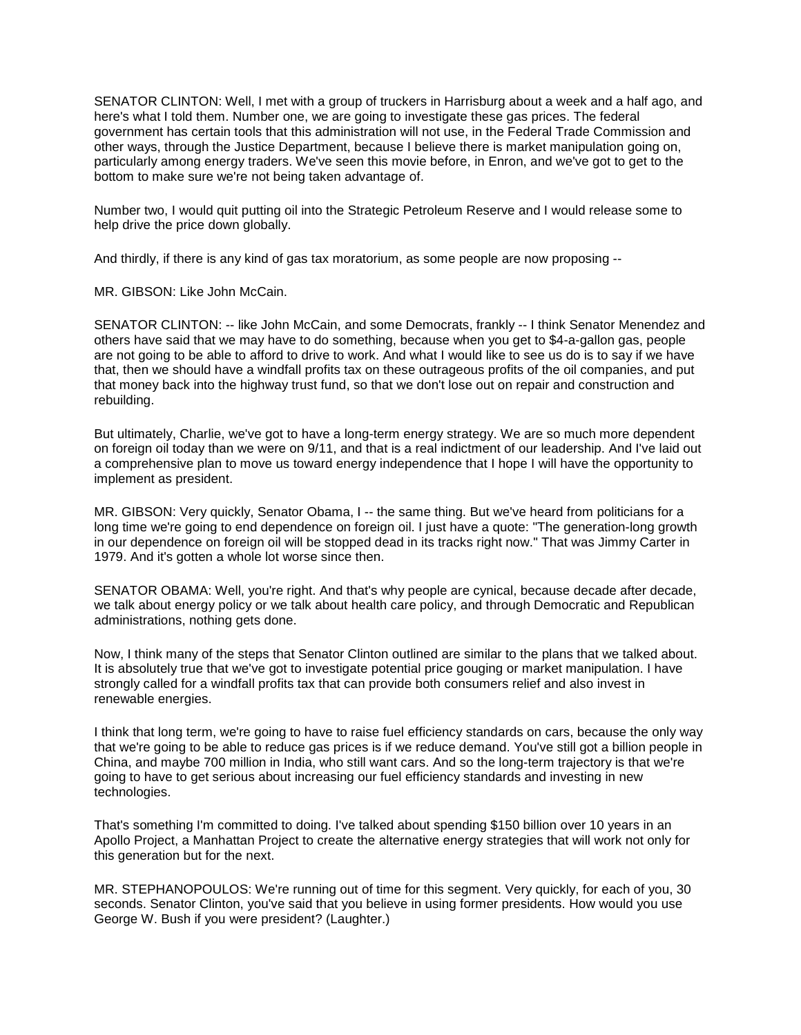SENATOR CLINTON: Well, I met with a group of truckers in Harrisburg about a week and a half ago, and here's what I told them. Number one, we are going to investigate these gas prices. The federal government has certain tools that this administration will not use, in the Federal Trade Commission and other ways, through the Justice Department, because I believe there is market manipulation going on, particularly among energy traders. We've seen this movie before, in Enron, and we've got to get to the bottom to make sure we're not being taken advantage of.

Number two, I would quit putting oil into the Strategic Petroleum Reserve and I would release some to help drive the price down globally.

And thirdly, if there is any kind of gas tax moratorium, as some people are now proposing --

MR. GIBSON: Like John McCain.

SENATOR CLINTON: -- like John McCain, and some Democrats, frankly -- I think Senator Menendez and others have said that we may have to do something, because when you get to \$4-a-gallon gas, people are not going to be able to afford to drive to work. And what I would like to see us do is to say if we have that, then we should have a windfall profits tax on these outrageous profits of the oil companies, and put that money back into the highway trust fund, so that we don't lose out on repair and construction and rebuilding.

But ultimately, Charlie, we've got to have a long-term energy strategy. We are so much more dependent on foreign oil today than we were on 9/11, and that is a real indictment of our leadership. And I've laid out a comprehensive plan to move us toward energy independence that I hope I will have the opportunity to implement as president.

MR. GIBSON: Very quickly, Senator Obama, I -- the same thing. But we've heard from politicians for a long time we're going to end dependence on foreign oil. I just have a quote: "The generation-long growth in our dependence on foreign oil will be stopped dead in its tracks right now." That was Jimmy Carter in 1979. And it's gotten a whole lot worse since then.

SENATOR OBAMA: Well, you're right. And that's why people are cynical, because decade after decade, we talk about energy policy or we talk about health care policy, and through Democratic and Republican administrations, nothing gets done.

Now, I think many of the steps that Senator Clinton outlined are similar to the plans that we talked about. It is absolutely true that we've got to investigate potential price gouging or market manipulation. I have strongly called for a windfall profits tax that can provide both consumers relief and also invest in renewable energies.

I think that long term, we're going to have to raise fuel efficiency standards on cars, because the only way that we're going to be able to reduce gas prices is if we reduce demand. You've still got a billion people in China, and maybe 700 million in India, who still want cars. And so the long-term trajectory is that we're going to have to get serious about increasing our fuel efficiency standards and investing in new technologies.

That's something I'm committed to doing. I've talked about spending \$150 billion over 10 years in an Apollo Project, a Manhattan Project to create the alternative energy strategies that will work not only for this generation but for the next.

MR. STEPHANOPOULOS: We're running out of time for this segment. Very quickly, for each of you, 30 seconds. Senator Clinton, you've said that you believe in using former presidents. How would you use George W. Bush if you were president? (Laughter.)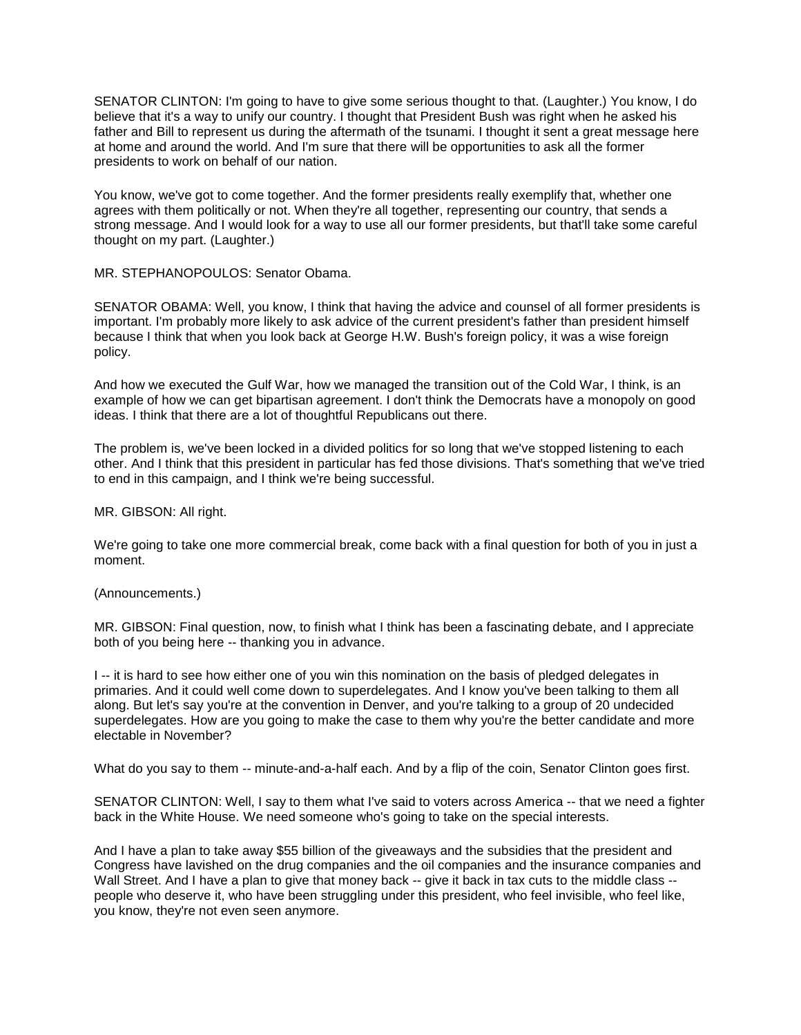SENATOR CLINTON: I'm going to have to give some serious thought to that. (Laughter.) You know, I do believe that it's a way to unify our country. I thought that President Bush was right when he asked his father and Bill to represent us during the aftermath of the tsunami. I thought it sent a great message here at home and around the world. And I'm sure that there will be opportunities to ask all the former presidents to work on behalf of our nation.

You know, we've got to come together. And the former presidents really exemplify that, whether one agrees with them politically or not. When they're all together, representing our country, that sends a strong message. And I would look for a way to use all our former presidents, but that'll take some careful thought on my part. (Laughter.)

MR. STEPHANOPOULOS: Senator Obama.

SENATOR OBAMA: Well, you know, I think that having the advice and counsel of all former presidents is important. I'm probably more likely to ask advice of the current president's father than president himself because I think that when you look back at George H.W. Bush's foreign policy, it was a wise foreign policy.

And how we executed the Gulf War, how we managed the transition out of the Cold War, I think, is an example of how we can get bipartisan agreement. I don't think the Democrats have a monopoly on good ideas. I think that there are a lot of thoughtful Republicans out there.

The problem is, we've been locked in a divided politics for so long that we've stopped listening to each other. And I think that this president in particular has fed those divisions. That's something that we've tried to end in this campaign, and I think we're being successful.

MR. GIBSON: All right.

We're going to take one more commercial break, come back with a final question for both of you in just a moment.

(Announcements.)

MR. GIBSON: Final question, now, to finish what I think has been a fascinating debate, and I appreciate both of you being here -- thanking you in advance.

I -- it is hard to see how either one of you win this nomination on the basis of pledged delegates in primaries. And it could well come down to superdelegates. And I know you've been talking to them all along. But let's say you're at the convention in Denver, and you're talking to a group of 20 undecided superdelegates. How are you going to make the case to them why you're the better candidate and more electable in November?

What do you say to them -- minute-and-a-half each. And by a flip of the coin, Senator Clinton goes first.

SENATOR CLINTON: Well, I say to them what I've said to voters across America -- that we need a fighter back in the White House. We need someone who's going to take on the special interests.

And I have a plan to take away \$55 billion of the giveaways and the subsidies that the president and Congress have lavished on the drug companies and the oil companies and the insurance companies and Wall Street. And I have a plan to give that money back -- give it back in tax cuts to the middle class -people who deserve it, who have been struggling under this president, who feel invisible, who feel like, you know, they're not even seen anymore.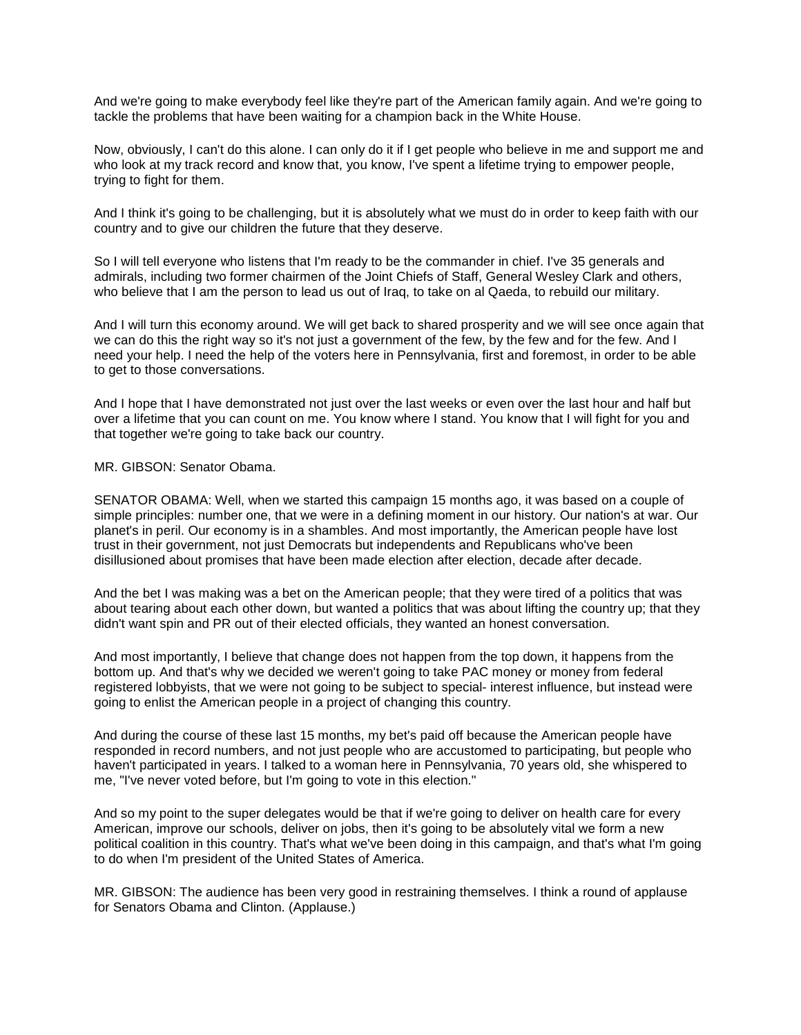And we're going to make everybody feel like they're part of the American family again. And we're going to tackle the problems that have been waiting for a champion back in the White House.

Now, obviously, I can't do this alone. I can only do it if I get people who believe in me and support me and who look at my track record and know that, you know, I've spent a lifetime trying to empower people, trying to fight for them.

And I think it's going to be challenging, but it is absolutely what we must do in order to keep faith with our country and to give our children the future that they deserve.

So I will tell everyone who listens that I'm ready to be the commander in chief. I've 35 generals and admirals, including two former chairmen of the Joint Chiefs of Staff, General Wesley Clark and others, who believe that I am the person to lead us out of Iraq, to take on al Qaeda, to rebuild our military.

And I will turn this economy around. We will get back to shared prosperity and we will see once again that we can do this the right way so it's not just a government of the few, by the few and for the few. And I need your help. I need the help of the voters here in Pennsylvania, first and foremost, in order to be able to get to those conversations.

And I hope that I have demonstrated not just over the last weeks or even over the last hour and half but over a lifetime that you can count on me. You know where I stand. You know that I will fight for you and that together we're going to take back our country.

MR. GIBSON: Senator Obama.

SENATOR OBAMA: Well, when we started this campaign 15 months ago, it was based on a couple of simple principles: number one, that we were in a defining moment in our history. Our nation's at war. Our planet's in peril. Our economy is in a shambles. And most importantly, the American people have lost trust in their government, not just Democrats but independents and Republicans who've been disillusioned about promises that have been made election after election, decade after decade.

And the bet I was making was a bet on the American people; that they were tired of a politics that was about tearing about each other down, but wanted a politics that was about lifting the country up; that they didn't want spin and PR out of their elected officials, they wanted an honest conversation.

And most importantly, I believe that change does not happen from the top down, it happens from the bottom up. And that's why we decided we weren't going to take PAC money or money from federal registered lobbyists, that we were not going to be subject to special- interest influence, but instead were going to enlist the American people in a project of changing this country.

And during the course of these last 15 months, my bet's paid off because the American people have responded in record numbers, and not just people who are accustomed to participating, but people who haven't participated in years. I talked to a woman here in Pennsylvania, 70 years old, she whispered to me, "I've never voted before, but I'm going to vote in this election."

And so my point to the super delegates would be that if we're going to deliver on health care for every American, improve our schools, deliver on jobs, then it's going to be absolutely vital we form a new political coalition in this country. That's what we've been doing in this campaign, and that's what I'm going to do when I'm president of the United States of America.

MR. GIBSON: The audience has been very good in restraining themselves. I think a round of applause for Senators Obama and Clinton. (Applause.)